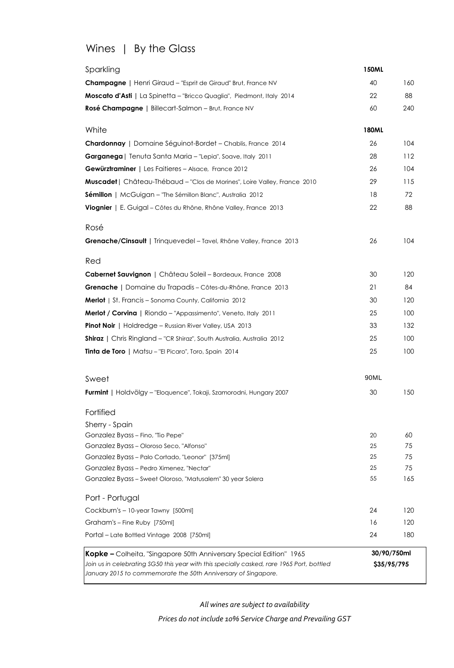# Wines | By the Glass

| Sparkling                                                                                                                                                   | <b>150ML</b> |     |
|-------------------------------------------------------------------------------------------------------------------------------------------------------------|--------------|-----|
| <b>Champagne</b>   Henri Giraud - "Esprit de Giraud" Brut, France NV                                                                                        | 40           | 160 |
| Moscato d'Asti   La Spinetta - "Bricco Quaglia", Piedmont, Italy 2014                                                                                       | 22           | 88  |
| <b>Rosé Champagne</b>   Billecart-Salmon - Brut, France NV                                                                                                  | 60           | 240 |
| White                                                                                                                                                       | <b>180ML</b> |     |
| Chardonnay   Domaine Séguinot-Bordet - Chablis, France 2014                                                                                                 | 26           | 104 |
| Garganega   Tenuta Santa Maria - "Lepia", Soave, Italy 2011                                                                                                 | 28           | 112 |
| <b>Gewürztraminer</b>   Les Faitieres - Alsace, France 2012                                                                                                 | 26           | 104 |
| Muscadet   Château-Thébaud - "Clos de Morines", Loire Valley, France 2010                                                                                   | 29           | 115 |
| Sémillon   McGuigan - "The Sémillon Blanc", Australia 2012                                                                                                  | 18           | 72  |
| Viognier   E. Guigal - Côtes du Rhône, Rhône Valley, France 2013                                                                                            | 22           | 88  |
| Rosé                                                                                                                                                        |              |     |
| Grenache/Cinsault   Trinquevedel - Tavel, Rhône Valley, France 2013                                                                                         | 26           | 104 |
| Red                                                                                                                                                         |              |     |
| Cabernet Sauvignon   Château Soleil - Bordeaux, France 2008                                                                                                 | 30           | 120 |
| Grenache   Domaine du Trapadis - Côtes-du-Rhône, France 2013                                                                                                | 21           | 84  |
| <b>Merlot</b>   St. Francis – Sonoma County, California 2012                                                                                                | 30           | 120 |
| <b>Merlot / Corvina</b>   Riondo – "Appassimento", Veneto, Italy 2011                                                                                       | 25           | 100 |
| <b>Pinot Noir</b>   Holdredge – Russian River Valley, USA 2013                                                                                              | 33           | 132 |
| <b>Shiraz</b>   Chris Ringland - "CR Shiraz", South Australia, Australia 2012                                                                               | 25           | 100 |
| Tinta de Toro   Matsu - "El Picaro", Toro, Spain 2014                                                                                                       | 25           | 100 |
| Sweet                                                                                                                                                       | 90ML         |     |
| Furmint   Holdvölgy - "Eloquence", Tokaji, Szamorodni, Hungary 2007                                                                                         | 30           | 150 |
| Fortified                                                                                                                                                   |              |     |
| Sherry - Spain                                                                                                                                              |              |     |
| Gonzalez Byass - Fino, "Tio Pepe"                                                                                                                           | 20           | 60  |
| Gonzalez Byass - Oloroso Seco, "Alfonso"                                                                                                                    | 25           | 75  |
| Gonzalez Byass - Palo Cortado, "Leonor" [375ml]                                                                                                             | 25           | 75  |
| Gonzalez Byass - Pedro Ximenez, "Nectar"                                                                                                                    | 25           | 75  |
| Gonzalez Byass - Sweet Oloroso, "Matusalem" 30 year Solera                                                                                                  | 55           | 165 |
| Port - Portugal                                                                                                                                             |              |     |
| Cockburn's - 10-year Tawny [500ml]                                                                                                                          | 24           | 120 |
| Graham's - Fine Ruby [750ml]                                                                                                                                | 16           | 120 |
| Portal - Late Bottled Vintage 2008 [750ml]                                                                                                                  | 24           | 180 |
| Kopke - Colheita, "Singapore 50th Anniversary Special Edition" 1965                                                                                         | 30/90/750ml  |     |
| Join us in celebrating SG50 this year with this specially casked, rare 1965 Port, bottled<br>January 2015 to commemorate the 50th Anniversary of Singapore. | \$35/95/795  |     |
|                                                                                                                                                             |              |     |

*All wines are subject to availability*

*Prices do not include 10% Service Charge and Prevailing GST*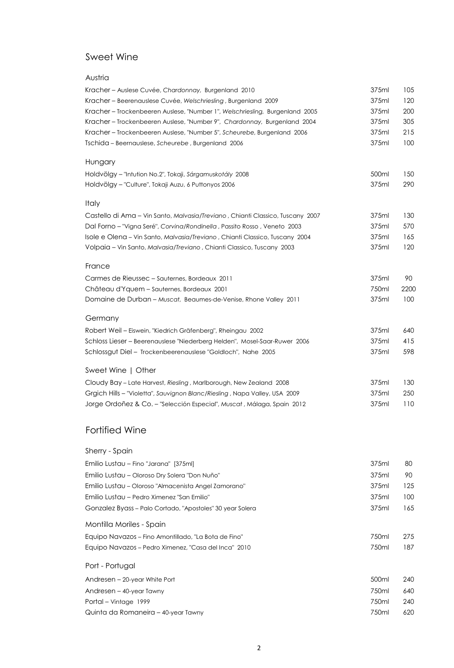### Sweet Wine

| Austria                                                                        |       |      |
|--------------------------------------------------------------------------------|-------|------|
| Kracher - Auslese Cuvée, Chardonnay, Burgenland 2010                           | 375ml | 105  |
| Kracher - Beerenauslese Cuvée, Welschriesling, Burgenland 2009                 | 375ml | 120  |
| Kracher - Trockenbeeren Auslese, "Number 1", Welschriesling, Burgenland 2005   | 375ml | 200  |
| Kracher-Trockenbeeren Auslese, "Number 9", Chardonnay, Burgenland 2004         | 375ml | 305  |
| Kracher - Trockenbeeren Auslese, "Number 5", Scheurebe, Burgenland 2006        | 375ml | 215  |
| Tschida - Beernauslese, Scheurebe, Burgenland 2006                             | 375ml | 100  |
| Hungary                                                                        |       |      |
| Holdvölgy - "Intution No.2", Tokaji, Sárgamuskotály 2008                       | 500ml | 150  |
| Holdvölgy - "Culture", Tokaji Auzu, 6 Puttonyos 2006                           | 375ml | 290  |
| <b>Italy</b>                                                                   |       |      |
| Castello di Ama - Vin Santo, Malvasia/Treviano, Chianti Classico, Tuscany 2007 | 375ml | 130  |
| Dal Forno - "Vigna Seré", Corvina/Rondinella, Passito Rosso, Veneto 2003       | 375ml | 570  |
| Isole e Olena - Vin Santo, Malvasia/Treviano, Chianti Classico, Tuscany 2004   | 375ml | 165  |
| Volpaia - Vin Santo, Malvasia/Treviano, Chianti Classico, Tuscany 2003         | 375ml | 120  |
| France                                                                         |       |      |
| Carmes de Rieussec - Sauternes, Bordeaux 2011                                  | 375ml | 90   |
| Château d'Yquem – Sauternes, Bordeaux 2001                                     | 750ml | 2200 |
| Domaine de Durban - Muscat, Beaumes-de-Venise, Rhone Valley 2011               | 375ml | 100  |
| Germany                                                                        |       |      |
| Robert Weil - Eiswein, "Kiedrich Gräfenberg", Rheingau 2002                    | 375ml | 640  |
| Schloss Lieser - Beerenauslese "Niederberg Helden", Mosel-Saar-Ruwer 2006      | 375ml | 415  |
| Schlossgut Diel - Trockenbeerenauslese "Goldloch", Nahe 2005                   | 375ml | 598  |
| Sweet Wine   Other                                                             |       |      |
| Cloudy Bay - Late Harvest, Riesling, Marlborough, New Zealand 2008             | 375ml | 130  |
| Grgich Hills - "Violetta", Sauvignon Blanc/Riesling, Napa Valley, USA 2009     | 375ml | 250  |
| Jorge Ordoñez & Co. - "Selección Especial", Muscat, Málaga, Spain 2012         | 375ml | 110  |
|                                                                                |       |      |

### Fortified Wine

| Sherry - Spain |  |
|----------------|--|
|                |  |

| Emilio Lustau – Fino "Jarana" [375ml]                     | 375ml | 80  |
|-----------------------------------------------------------|-------|-----|
| Emilio Lustau – Oloroso Dry Solera "Don Nuño"             | 375ml | 90  |
| Emilio Lustau – Oloroso "Almacenista Angel Zamorano"      | 375ml | 125 |
| Emilio Lustau – Pedro Ximenez "San Emilio"                | 375ml | 100 |
| Gonzalez Byass - Palo Cortado, "Apostoles" 30 year Solera | 375ml | 165 |
| Montilla Moriles - Spain                                  |       |     |
| Equipo Navazos - Fino Amontillado, "La Bota de Fino"      | 750ml | 275 |
| Equipo Navazos – Pedro Ximenez, "Casa del Inca" 2010      | 750ml | 187 |
| Port - Portugal                                           |       |     |
| Andresen - 20-year White Port                             | 500ml | 240 |
| Andresen – 40-year Tawny                                  | 750ml | 640 |
| Portal – Vintage 1999                                     | 750ml | 240 |
| Quinta da Romaneira – 40-year Tawny                       | 750ml | 620 |
|                                                           |       |     |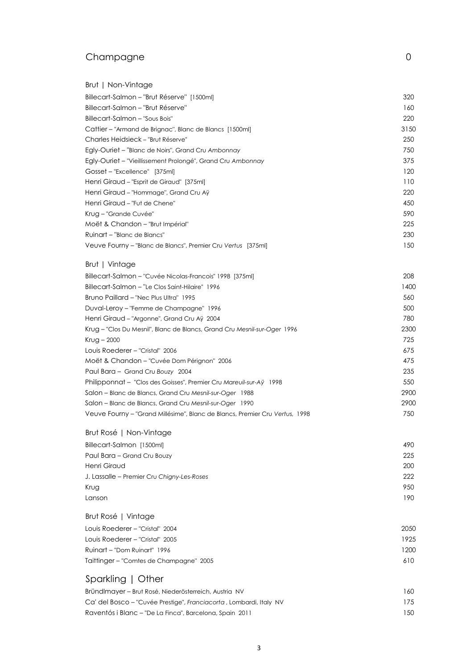### Champagne 0

| Brut   Non-Vintage                                           |      |
|--------------------------------------------------------------|------|
| Billecart-Salmon – "Brut Réserve" [1500ml]                   | 320  |
| Billecart-Salmon - "Brut Réserve"                            | 160  |
| Billecart-Salmon – "Sous Bois"                               | 220  |
| Cattier – "Armand de Brignac", Blanc de Blancs [1500ml]      | 3150 |
| Charles Heidsieck – "Brut Réserve"                           | 250  |
| Egly-Ouriet - "Blanc de Noirs", Grand Cru Ambonnay           | 750  |
| Egly-Ouriet - "Vieillissement Prolongé", Grand Cru Ambonnay  | 375  |
| Gosset - "Excellence" [375ml]                                | 120  |
| Henri Giraud - "Esprit de Giraud" [375ml]                    | 110  |
| Henri Giraud – "Hommage", Grand Cru Aÿ                       | 220  |
| Henri Giraud - "Fut de Chene"                                | 450  |
| Krug – "Grande Cuvée"                                        | 590  |
| Moët & Chandon - "Brut Impérial"                             | 225  |
| Ruinart – "Blanc de Blancs"                                  | 230  |
| Veuve Fourny - "Blanc de Blancs", Premier Cru Vertus [375ml] | 150  |
| Brut   Vintage                                               |      |

| Billecart-Salmon – "Cuvée Nicolas-Francois" 1998 [375ml]                    | 208  |
|-----------------------------------------------------------------------------|------|
| Billecart-Salmon - "Le Clos Saint-Hilaire" 1996                             | 1400 |
| Bruno Paillard - "Nec Plus Ultra" 1995                                      | 560  |
| Duval-Leroy - "Femme de Champagne" 1996                                     | 500  |
| Henri Giraud - "Argonne", Grand Cru Aÿ 2004                                 | 780  |
| Krug - "Clos Du Mesnil", Blanc de Blancs, Grand Cru Mesnil-sur-Oger 1996    | 2300 |
| $Kryg - 2000$                                                               | 725  |
| Louis Roederer – "Cristal" 2006                                             | 675  |
| Moët & Chandon - "Cuvée Dom Pérignon" 2006                                  | 475  |
| Paul Bara - Grand Cru Bouzy 2004                                            | 235  |
| Philipponnat - "Clos des Goisses", Premier Cru Mareuil-sur-Aÿ 1998          | 550  |
| Salon - Blanc de Blancs, Grand Cru Mesnil-sur-Oger 1988                     | 2900 |
| Salon - Blanc de Blancs, Grand Cru Mesnil-sur-Oger 1990                     | 2900 |
| Veuve Fourny - "Grand Millésime", Blanc de Blancs, Premier Cru Vertus, 1998 | 750  |
|                                                                             |      |

#### Brut Rosé | Non-Vintage Billecart-Salmon [1500ml] 490

| <b>MILLOUIT LIUITIUS</b>                   | 770 |
|--------------------------------------------|-----|
| Paul Bara - Grand Cru Bouzy                | 225 |
| Henri Giraud                               | 200 |
| J. Lassalle – Premier Cru Chigny-Les-Roses | 222 |
| Krug                                       | 950 |
| Lanson                                     | 190 |

| Brut Rosé   Vintage                     |      |
|-----------------------------------------|------|
| Louis Roederer - "Cristal" 2004         | 2050 |
| Louis Roederer – "Cristal" 2005         | 1925 |
| Ruinart – "Dom Ruinart" 1996            | 1200 |
| Taittinger – "Comtes de Champagne" 2005 | 610  |
|                                         |      |

# Sparkling | Other

| Bründlmayer – Brut Rosé, Niederösterreich, Austria NV              | 160. |
|--------------------------------------------------------------------|------|
| Ca' del Bosco – "Cuvée Prestige", Franciacorta, Lombardi, Italy NV | 175  |
| Raventós i Blanc - "De La Finca", Barcelona, Spain 2011            | 150  |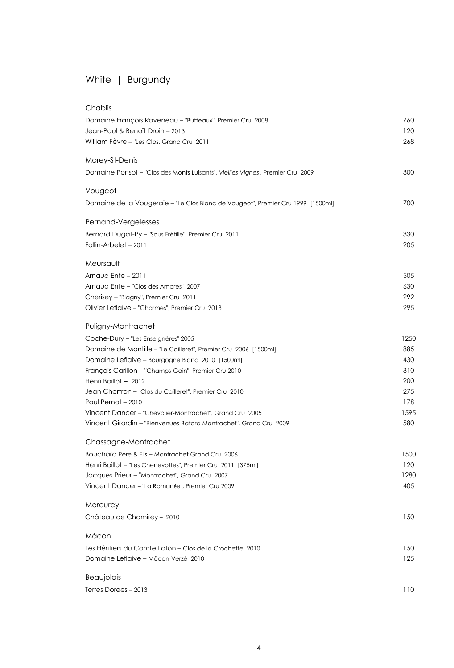# White | Burgundy

| Chablis                                                                         |      |
|---------------------------------------------------------------------------------|------|
| Domaine François Raveneau - "Butteaux", Premier Cru 2008                        | 760  |
| Jean-Paul & Benoît Droin - 2013                                                 | 120  |
| William Fèvre - "Les Clos, Grand Cru 2011                                       | 268  |
| Morey-St-Denis                                                                  |      |
| Domaine Ponsot - "Clos des Monts Luisants", Vieilles Vignes, Premier Cru 2009   | 300  |
| Vougeot                                                                         |      |
| Domaine de la Vougeraie - "Le Clos Blanc de Vougeot", Premier Cru 1999 [1500ml] | 700  |
| Pernand-Vergelesses                                                             |      |
| Bernard Dugat-Py - "Sous Frétille", Premier Cru 2011                            | 330  |
| Follin-Arbelet - 2011                                                           | 205  |
| Meursault                                                                       |      |
| Arnaud Ente - 2011                                                              | 505  |
| Arnaud Ente - "Clos des Ambres" 2007                                            | 630  |
| Cherisey - "Blagny", Premier Cru 2011                                           | 292  |
| Olivier Leflaive - "Charmes", Premier Cru 2013                                  | 295  |
| Puligny-Montrachet                                                              |      |
| Coche-Dury - "Les Enseignères" 2005                                             | 1250 |
| Domaine de Montille - "Le Cailleret", Premier Cru 2006 [1500ml]                 | 885  |
| Domaine Leflaive – Bourgogne Blanc 2010 [1500ml]                                | 430  |
| François Carillon – "Champs-Gain", Premier Cru 2010                             | 310  |
| Henri Boillot - 2012                                                            | 200  |
| Jean Chartron - "Clos du Cailleret", Premier Cru 2010                           | 275  |
| Paul Pernot - 2010                                                              | 178  |
| Vincent Dancer - "Chevalier-Montrachet", Grand Cru 2005                         | 1595 |
| Vincent Girardin - "Bienvenues-Batard Montrachet", Grand Cru 2009               | 580  |
| Chassagne-Montrachet                                                            |      |
| Bouchard Père & Fils - Montrachet Grand Cru 2006                                | 1500 |
| Henri Boillot - "Les Chenevottes", Premier Cru 2011 [375ml]                     | 120  |
| Jacques Prieur - "Montrachet", Grand Cru 2007                                   | 1280 |
| Vincent Dancer - "La Romanée", Premier Cru 2009                                 | 405  |
| Mercurey                                                                        |      |
| Château de Chamirey - 2010                                                      | 150  |
| Mâcon                                                                           |      |
| Les Héritiers du Comte Lafon – Clos de la Crochette 2010                        | 150  |
| Domaine Leflaive - Mâcon-Verzé 2010                                             | 125  |
| Beaujolais                                                                      |      |
| Terres Dorees - 2013                                                            | 110  |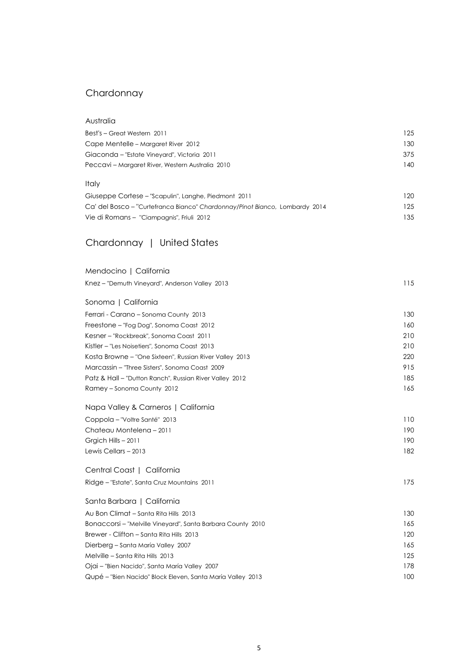### Chardonnay

| Australia                                                                   |     |
|-----------------------------------------------------------------------------|-----|
| Best's - Great Western 2011                                                 | 125 |
| Cape Mentelle - Margaret River 2012                                         | 130 |
| Giaconda - "Estate Vineyard", Victoria 2011                                 | 375 |
| Peccavi - Margaret River, Western Australia 2010                            | 140 |
| Italy                                                                       |     |
| Giuseppe Cortese - "Scapulin", Langhe, Piedmont 2011                        | 120 |
| Ca' del Bosco - "Curtefranca Bianco" Chardonnay/Pinot Bianco, Lombardy 2014 | 125 |
| Vie di Romans - "Ciampagnis", Friuli 2012                                   | 135 |
| Chardonnay   United States                                                  |     |
| Mendocino   California                                                      |     |
| Knez - "Demuth Vineyard", Anderson Valley 2013                              | 115 |
| Sonoma   California                                                         |     |
| Ferrari - Carano - Sonoma County 2013                                       | 130 |
| Freestone - "Fog Dog", Sonoma Coast 2012                                    | 160 |
| Kesner - "Rockbreak", Sonoma Coast 2011                                     | 210 |
| Kistler - "Les Noisetiers", Sonoma Coast 2013                               | 210 |
| Kosta Browne - "One Sixteen", Russian River Valley 2013                     | 220 |
| Marcassin – "Three Sisters", Sonoma Coast 2009                              | 915 |
| Patz & Hall - "Dutton Ranch", Russian River Valley 2012                     | 185 |
| Ramey - Sonoma County 2012                                                  | 165 |
| Napa Valley & Carneros   California                                         |     |
| Coppola - "Voltre Santé" 2013                                               | 110 |
| Chateau Montelena - 2011                                                    | 190 |
| Grgich Hills - 2011                                                         | 190 |
| Lewis Cellars - 2013                                                        | 182 |
| Central Coast   California                                                  |     |
| Ridge - "Estate", Santa Cruz Mountains 2011                                 | 175 |
| Santa Barbara   California                                                  |     |
| Au Bon Climat - Santa Rita Hills 2013                                       | 130 |
| Bonaccorsi - "Melville Vineyard", Santa Barbara County 2010                 | 165 |
| Brewer - Clifton - Santa Rita Hills 2013                                    | 120 |
| Dierberg - Santa María Valley 2007                                          | 165 |
| Melville – Santa Rita Hills 2013                                            | 125 |
| Ojai - "Bien Nacido", Santa María Valley 2007                               | 178 |
| Qupé - "Bien Nacido" Block Eleven, Santa María Valley 2013                  | 100 |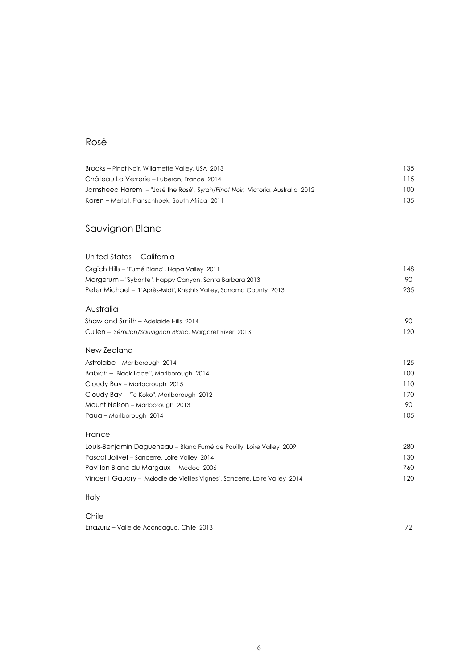### Rosé

| Brooks - Pinot Noir, Willamette Valley, USA 2013                             | 135 |
|------------------------------------------------------------------------------|-----|
| Château La Verrerie - Luberon, France 2014                                   | 115 |
| Jamsheed Harem - "José the Rosé", Syrah/Pinot Noir, Victoria, Australia 2012 | 100 |
| Karen - Merlot, Franschhoek, South Africa 2011                               | 135 |
| Sauvignon Blanc                                                              |     |
| United States   California                                                   |     |
| Grgich Hills - "Fumé Blanc", Napa Valley 2011                                | 148 |
| Margerum - "Sybarite", Happy Canyon, Santa Barbara 2013                      | 90  |
| Peter Michael - "L'Après-Midi", Knights Valley, Sonoma County 2013           | 235 |
| Australia                                                                    |     |
| Shaw and Smith - Adelaide Hills 2014                                         | 90  |
| Cullen - Sémillon/Sauvignon Blanc, Margaret River 2013                       | 120 |
| New Zealand                                                                  |     |
| Astrolabe – Marlborough 2014                                                 | 125 |
| Babich - "Black Label", Marlborough 2014                                     | 100 |
| Cloudy Bay - Marlborough 2015                                                | 110 |
| Cloudy Bay - "Te Koko", Marlborough 2012                                     | 170 |
| Mount Nelson - Marlborough 2013                                              | 90  |
| Paua - Marlborough 2014                                                      | 105 |

| France                                                                     |     |
|----------------------------------------------------------------------------|-----|
| Louis-Benjamin Dagueneau – Blanc Fumé de Pouilly, Loire Valley 2009        | 280 |
| Pascal Jolivet – Sancerre, Loire Valley 2014                               | 130 |
| Pavillon Blanc du Margaux - Médoc 2006                                     | 760 |
| Vincent Gaudry - "Mélodie de Vieilles Vignes", Sancerre, Loire Valley 2014 | 120 |
|                                                                            |     |

#### Italy

#### Chile Errazuriz – Valle de Aconcagua, Chile 2013 72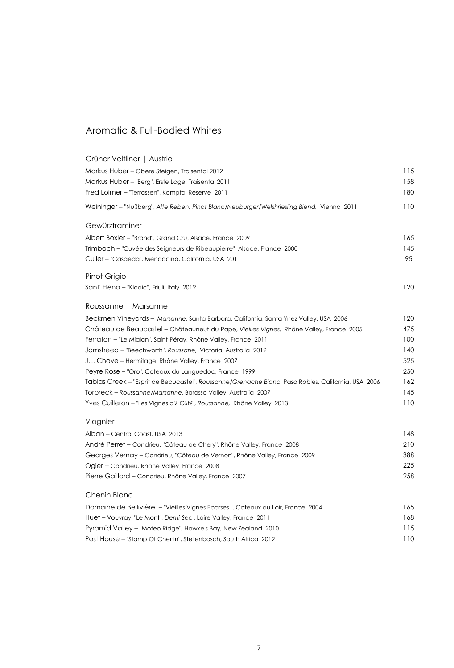### Aromatic & Full-Bodied Whites

| Grüner Veltliner   Austria                                                                         |     |
|----------------------------------------------------------------------------------------------------|-----|
| Markus Huber - Obere Steigen, Traisental 2012                                                      | 115 |
| Markus Huber - "Berg", Erste Lage, Traisental 2011                                                 | 158 |
| Fred Loimer - "Terrassen", Kamptal Reserve 2011                                                    | 180 |
| Weininger - "Nußberg", Alte Reben, Pinot Blanc/Neuburger/Welshriesling Blend, Vienna 2011          | 110 |
| Gewürztraminer                                                                                     |     |
| Albert Boxler - "Brand", Grand Cru, Alsace, France 2009                                            | 165 |
| Trimbach – "Cuvée des Seigneurs de Ribeaupierre" Alsace, France 2000                               | 145 |
| Culler - "Casaeda", Mendocino, California, USA 2011                                                | 95  |
| Pinot Grigio                                                                                       |     |
| Sant' Elena - "Klodic", Friuli, Italy 2012                                                         | 120 |
| Roussanne   Marsanne                                                                               |     |
| Beckmen Vineyards - Marsanne, Santa Barbara, California, Santa Ynez Valley, USA 2006               | 120 |
| Château de Beaucastel - Châteauneuf-du-Pape, Vieilles Vignes, Rhône Valley, France 2005            | 475 |
| Ferraton - "Le Mialan", Saint-Péray, Rhône Valley, France 2011                                     | 100 |
| Jamsheed - "Beechworth", Roussane, Victoria, Australia 2012                                        | 140 |
| J.L. Chave - Hermitage, Rhône Valley, France 2007                                                  | 525 |
| Peyre Rose - "Oro", Coteaux du Languedoc, France 1999                                              | 250 |
| Tablas Creek - "Esprit de Beaucastel", Roussanne/Grenache Blanc, Paso Robles, California, USA 2006 | 162 |
| Torbreck - Roussanne/Marsanne, Barossa Valley, Australia 2007                                      | 145 |
| Yves Cuilleron - "Les Vignes d'à Côté", Roussanne, Rhône Valley 2013                               | 110 |
| Viognier                                                                                           |     |
| Alban - Central Coast, USA 2013                                                                    | 148 |
| André Perret - Condrieu, "Côteau de Chery", Rhône Valley, France 2008                              | 210 |
| Georges Vernay - Condrieu, "Côteau de Vernon", Rhône Valley, France 2009                           | 388 |
| Ogier – Condrieu, Rhône Valley, France 2008                                                        | 225 |
| Pierre Gaillard - Condrieu, Rhône Valley, France 2007                                              | 258 |
| Chenin Blanc                                                                                       |     |
| Domaine de Bellivière - "Vieilles Vignes Eparses", Coteaux du Loir, France 2004                    | 165 |
| Huet - Vouvray, "Le Mont", Demi-Sec, Loire Valley, France 2011                                     | 168 |
| Pyramid Valley - "Moteo Ridge", Hawke's Bay, New Zealand 2010                                      | 115 |
| Post House - "Stamp Of Chenin", Stellenbosch, South Africa 2012                                    | 110 |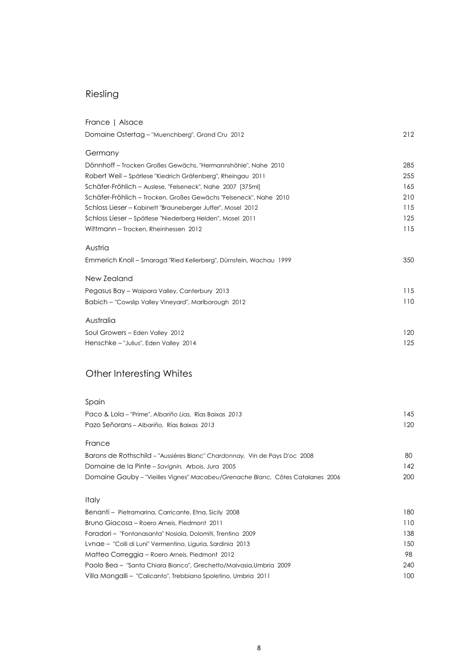# Riesling

| France   Alsace                                                    |     |
|--------------------------------------------------------------------|-----|
| Domaine Ostertag - "Muenchberg", Grand Cru 2012                    | 212 |
| Germany                                                            |     |
| Dönnhoff - Trocken Großes Gewächs, "Hermannshöhle", Nahe 2010      | 285 |
| Robert Weil – Spätlese "Kiedrich Gräfenberg", Rheingau 2011        | 255 |
| Schäfer-Fröhlich - Auslese, "Felseneck", Nahe 2007 [375ml]         | 165 |
| Schäfer-Fröhlich - Trocken, Großes Gewächs "Felseneck", Nahe 2010  | 210 |
| Schloss Lieser - Kabinett "Brauneberger Juffer", Mosel 2012        | 115 |
| Schloss Lieser - Spätlese "Niederberg Helden", Mosel 2011          | 125 |
| Wittmann - Trocken, Rheinhessen 2012                               | 115 |
| Austria                                                            |     |
| Emmerich Knoll – Smaragd "Ried Kellerberg", Dürnstein, Wachau 1999 | 350 |
| New Zealand                                                        |     |
| Pegasus Bay - Waipara Valley, Canterbury 2013                      | 115 |
| Babich - "Cowslip Valley Vineyard", Marlborough 2012               | 110 |
| Australia                                                          |     |
| Soul Growers - Eden Valley 2012                                    | 120 |
| Henschke - "Julius", Eden Valley 2014                              | 125 |
| <b>Other Interesting Whites</b>                                    |     |

| Spain                                                                      |      |
|----------------------------------------------------------------------------|------|
| Paco & Lola – "Prime", Albariño Lias, Rías Baixas 2013                     | 145  |
| Pazo Señorans – Albariño, Rías Baixas, 2013                                | 120. |
| France                                                                     |      |
| Barons de Rothschild – "Aussières Blanc" Chardonnay, Vin de Pays D'oc 2008 | 80   |
| Domaine de la Pinte – Savignin, Arbois, Jura 2005                          | 142  |

Domaine Gauby – "Vieilles Vignes" *Macabeu/Grenache Blanc,* Côtes Catalanes 2006 200

#### Italy

| Benanti – Pietramarina, Carricante, Etna, Sicily 2008              | 180 |
|--------------------------------------------------------------------|-----|
| Bruno Giacosa – Roero Arneis, Piedmont 2011                        | 110 |
| Foradori – "Fontanasanta" Nosiola, Dolomiti, Trentino 2009         | 138 |
| Lvnae – "Colli di Luni" Vermentino, Liguria, Sardinia 2013         | 150 |
| Matteo Correggia - Roero Arneis, Piedmont 2012                     | 98. |
| Paolo Bea - "Santa Chiara Bianco", Grechetto/Malvasia, Umbria 2009 | 240 |
| Villa Mongalli - "Calicanto", Trebbiano Spoletino, Umbria 2011     | 100 |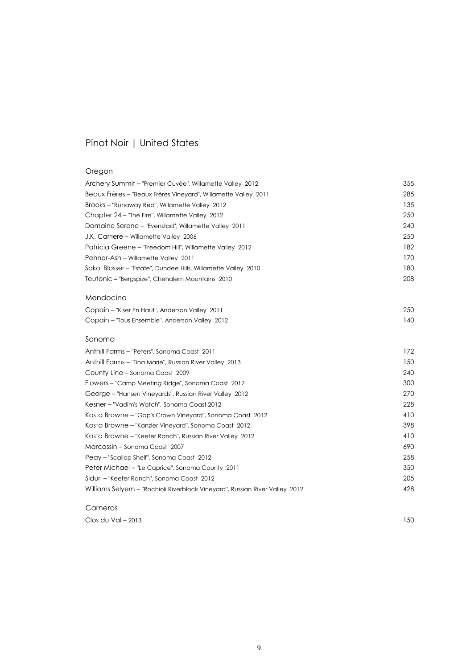### Pinot Noir | United States

#### Oregon

| Beaux Frères – "Beaux Frères Vineyard", Willamette Valley 2011<br>Brooks - "Runaway Red", Willamette Valley 2012<br>Chapter 24 - "The Fire", Willamette Valley 2012<br>Domaine Serene – "Evenstad", Willamette Valley 2011<br>J.K. Carriere - Willamette Valley 2006<br>Patricia Greene - "Freedom Hill", Willamette Valley 2012<br>Penner-Ash – Willamette Valley 2011<br>Sokol Blosser - "Estate", Dundee Hills, Willamette Valley 2010<br>Teutonic - "Bergspize", Chehalem Mountains 2010 | 285<br>135<br>250<br>240<br>250<br>182<br>170<br>180<br>208<br>250 |
|----------------------------------------------------------------------------------------------------------------------------------------------------------------------------------------------------------------------------------------------------------------------------------------------------------------------------------------------------------------------------------------------------------------------------------------------------------------------------------------------|--------------------------------------------------------------------|
|                                                                                                                                                                                                                                                                                                                                                                                                                                                                                              |                                                                    |
|                                                                                                                                                                                                                                                                                                                                                                                                                                                                                              |                                                                    |
|                                                                                                                                                                                                                                                                                                                                                                                                                                                                                              |                                                                    |
|                                                                                                                                                                                                                                                                                                                                                                                                                                                                                              |                                                                    |
|                                                                                                                                                                                                                                                                                                                                                                                                                                                                                              |                                                                    |
|                                                                                                                                                                                                                                                                                                                                                                                                                                                                                              |                                                                    |
|                                                                                                                                                                                                                                                                                                                                                                                                                                                                                              |                                                                    |
|                                                                                                                                                                                                                                                                                                                                                                                                                                                                                              |                                                                    |
|                                                                                                                                                                                                                                                                                                                                                                                                                                                                                              |                                                                    |
| Mendocino                                                                                                                                                                                                                                                                                                                                                                                                                                                                                    |                                                                    |
| Copain - "Kiser En Haut", Anderson Valley 2011                                                                                                                                                                                                                                                                                                                                                                                                                                               |                                                                    |
| Copain - "Tous Ensemble", Anderson Valley 2012                                                                                                                                                                                                                                                                                                                                                                                                                                               | 140                                                                |
| Sonoma                                                                                                                                                                                                                                                                                                                                                                                                                                                                                       |                                                                    |
| Anthill Farms - "Peters", Sonoma Coast 2011                                                                                                                                                                                                                                                                                                                                                                                                                                                  | 172                                                                |
| Anthill Farms - "Tina Marie", Russian River Valley 2013                                                                                                                                                                                                                                                                                                                                                                                                                                      | 150                                                                |
| County Line - Sonoma Coast 2009                                                                                                                                                                                                                                                                                                                                                                                                                                                              | 240                                                                |
| Flowers - "Camp Meeting Ridge", Sonoma Coast 2012                                                                                                                                                                                                                                                                                                                                                                                                                                            | 300                                                                |
| George - "Hansen Vineyards", Russian River Valley 2012                                                                                                                                                                                                                                                                                                                                                                                                                                       | 270                                                                |
| Kesner - "Vadim's Watch", Sonoma Coast 2012                                                                                                                                                                                                                                                                                                                                                                                                                                                  | 228                                                                |
| Kosta Browne - "Gap's Crown Vineyard", Sonoma Coast 2012                                                                                                                                                                                                                                                                                                                                                                                                                                     | 410                                                                |
| Kosta Browne - "Kanzler Vineyard", Sonoma Coast 2012                                                                                                                                                                                                                                                                                                                                                                                                                                         | 398                                                                |
| Kosta Browne - "Keefer Ranch", Russian River Valley 2012                                                                                                                                                                                                                                                                                                                                                                                                                                     | 410                                                                |
| Marcassin - Sonoma Coast 2007                                                                                                                                                                                                                                                                                                                                                                                                                                                                | 690                                                                |
| Peay - "Scallop Shelf", Sonoma Coast 2012                                                                                                                                                                                                                                                                                                                                                                                                                                                    | 258                                                                |
| Peter Michael - "Le Caprice", Sonoma County 2011                                                                                                                                                                                                                                                                                                                                                                                                                                             | 350                                                                |
| Siduri - "Keefer Ranch", Sonoma Coast 2012                                                                                                                                                                                                                                                                                                                                                                                                                                                   | 205                                                                |
| Williams Selyem - "Rochioli Riverblock Vineyard", Russian River Valley 2012                                                                                                                                                                                                                                                                                                                                                                                                                  | 428                                                                |

#### Carneros

Clos du Val – 2013 150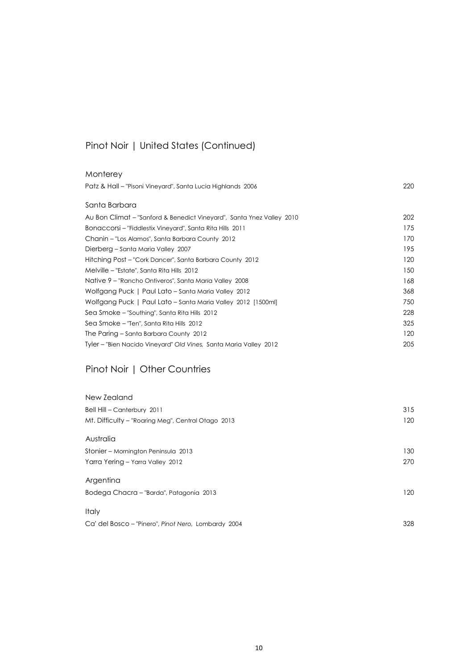### Pinot Noir | United States (Continued)

| Monterey                                                              |     |
|-----------------------------------------------------------------------|-----|
| Patz & Hall - "Pisoni Vineyard", Santa Lucia Highlands 2006           | 220 |
| Santa Barbara                                                         |     |
|                                                                       |     |
| Au Bon Climat – "Sanford & Benedict Vineyard", Santa Ynez Valley 2010 | 202 |
| Bonaccorsi – "Fiddlestix Vineyard", Santa Rita Hills 2011             | 175 |
| Chanin – "Los Alamos", Santa Barbara County 2012                      | 170 |
| Dierberg – Santa Maria Valley 2007                                    | 195 |
| Hitching Post - "Cork Dancer", Santa Barbara County 2012              | 120 |
| Melville – "Estate", Santa Rita Hills 2012                            | 150 |
| Native 9 - "Rancho Ontiveros", Santa María Valley 2008                | 168 |
| Wolfgang Puck   Paul Lato - Santa Maria Valley 2012                   | 368 |
| Wolfgang Puck   Paul Lato - Santa Maria Valley 2012 [1500ml]          | 750 |
| Sea Smoke - "Southing", Santa Rita Hills 2012                         | 228 |
| Sea Smoke - "Ten", Santa Rita Hills 2012                              | 325 |
| The Paring - Santa Barbara County 2012                                | 120 |
| Tyler – "Bien Nacido Vineyard" Old Vines, Santa Maria Valley 2012     | 205 |
|                                                                       |     |

### Pinot Noir | Other Countries

| New Zealand                                         |     |
|-----------------------------------------------------|-----|
| Bell Hill - Canterbury 2011                         | 315 |
| Mt. Difficulty - "Roaring Meg", Central Otago 2013  | 120 |
| Australia                                           |     |
| Stonier – Mornington Peninsula 2013                 | 130 |
| Yarra Yering - Yarra Valley 2012                    | 270 |
| Argentina                                           |     |
| Bodega Chacra - "Barda", Patagonia 2013             | 120 |
| Italy                                               |     |
| Ca' del Bosco - "Pinero", Pinot Nero, Lombardy 2004 | 328 |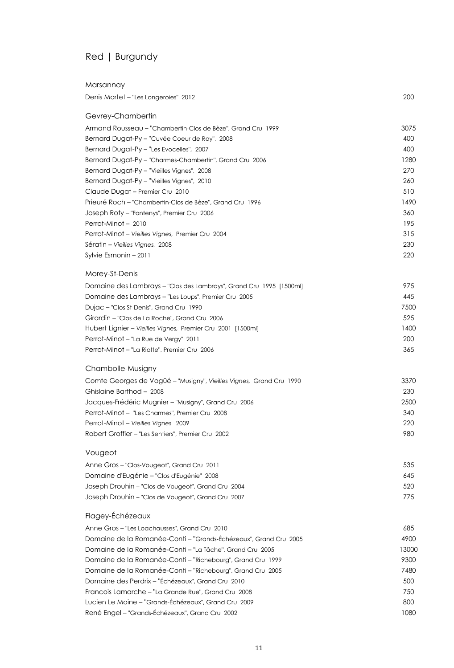# Red | Burgundy

| Marsannay                                                           |       |
|---------------------------------------------------------------------|-------|
| Denis Mortet - "Les Longeroies" 2012                                | 200   |
| Gevrey-Chambertin                                                   |       |
| Armand Rousseau - "Chambertin-Clos de Bèze", Grand Cru 1999         | 3075  |
| Bernard Dugat-Py - "Cuvée Coeur de Roy", 2008                       | 400   |
| Bernard Dugat-Py - "Les Evocelles", 2007                            | 400   |
| Bernard Dugat-Py - "Charmes-Chambertin", Grand Cru 2006             | 1280  |
| Bernard Dugat-Py - "Vieilles Vignes", 2008                          | 270   |
| Bernard Dugat-Py - "Vieilles Vignes", 2010                          | 260   |
| Claude Dugat - Premier Cru 2010                                     | 510   |
| Prieuré Roch – "Chambertin-Clos de Bèze", Grand Cru 1996            | 1490  |
| Joseph Roty - "Fontenys", Premier Cru 2006                          | 360   |
| Perrot-Minot - 2010                                                 | 195   |
| Perrot-Minot - Vieilles Vignes, Premier Cru 2004                    | 315   |
| Sérafin – Vieilles Vignes, 2008                                     | 230   |
| Sylvie Esmonin - 2011                                               | 220   |
| Morey-St-Denis                                                      |       |
| Domaine des Lambrays - "Clos des Lambrays", Grand Cru 1995 [1500ml] | 975   |
| Domaine des Lambrays - "Les Loups", Premier Cru 2005                | 445   |
| Dujac - "Clos St-Denis", Grand Cru 1990                             | 7500  |
| Girardin – "Clos de La Roche", Grand Cru 2006                       | 525   |
| Hubert Lignier - Vieilles Vignes, Premier Cru 2001 [1500ml]         | 1400  |
| Perrot-Minot - "La Rue de Vergy" 2011                               | 200   |
| Perrot-Minot - "La Riotte", Premier Cru 2006                        | 365   |
| Chambolle-Musigny                                                   |       |
| Comte Georges de Vogüé - "Musigny", Vieilles Vignes, Grand Cru 1990 | 3370  |
| Ghislaine Barthod - 2008                                            | 230   |
| Jacques-Frédéric Mugnier - "Musigny", Grand Cru 2006                | 2500  |
| Perrot-Minot - "Les Charmes", Premier Cru 2008                      | 340   |
| Perrot-Minot - Vieilles Vignes 2009                                 | 220   |
| Robert Groffier - "Les Sentiers", Premier Cru 2002                  | 980   |
| Vougeot                                                             |       |
| Anne Gros-"Clos-Vougeot", Grand Cru 2011                            | 535   |
| Domaine d'Eugénie – "Clos d'Eugénie" 2008                           | 645   |
| Joseph Drouhin - "Clos de Vougeot", Grand Cru 2004                  | 520   |
| Joseph Drouhin - "Clos de Vougeot", Grand Cru 2007                  | 775   |
| Flagey-Échézeaux                                                    |       |
| Anne Gros - "Les Loachausses", Grand Cru 2010                       | 685   |
| Domaine de la Romanée-Conti-"Grands-Échézeaux", Grand Cru 2005      | 4900  |
| Domaine de la Romanée-Conti - "La Tâche", Grand Cru 2005            | 13000 |
| Domaine de la Romanée-Conti – "Richebourg", Grand Cru 1999          | 9300  |
| Domaine de la Romanée-Conti – "Richebourg", Grand Cru 2005          | 7480  |
| Domaine des Perdrix - "Échézeaux", Grand Cru 2010                   | 500   |
| Francois Lamarche - "La Grande Rue", Grand Cru 2008                 | 750   |
| Lucien Le Moine - "Grands-Échézeaux", Grand Cru 2009                | 800   |
| René Engel - "Grands-Échézeaux", Grand Cru 2002                     | 1080  |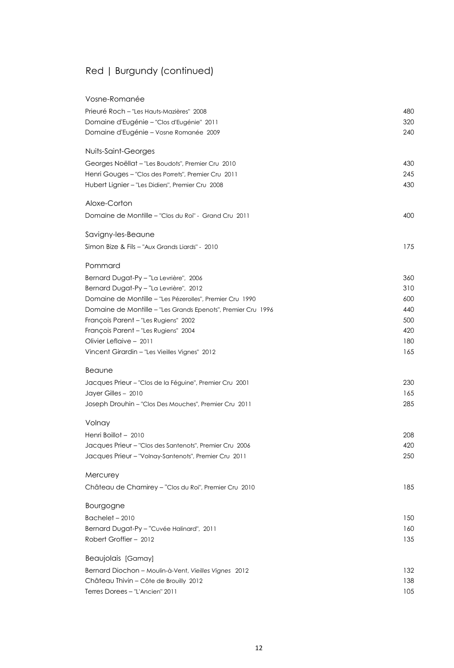# Red | Burgundy (continued)

| Vosne-Romanée                                                |     |
|--------------------------------------------------------------|-----|
| Prieuré Roch - "Les Hauts-Mazières" 2008                     | 480 |
| Domaine d'Eugénie - "Clos d'Eugénie" 2011                    | 320 |
| Domaine d'Eugénie - Vosne Romanée 2009                       | 240 |
| Nuits-Saint-Georges                                          |     |
| Georges Noëllat - "Les Boudots", Premier Cru 2010            | 430 |
| Henri Gouges - "Clos des Porrets", Premier Cru 2011          | 245 |
| Hubert Lignier - "Les Didiers", Premier Cru 2008             | 430 |
| Aloxe-Corton                                                 |     |
| Domaine de Montille - "Clos du Roi" - Grand Cru 2011         | 400 |
| Savigny-les-Beaune                                           |     |
| Simon Bize & Fils - "Aux Grands Liards" - 2010               | 175 |
| Pommard                                                      |     |
| Bernard Dugat-Py - "La Levrière", 2006                       | 360 |
| Bernard Dugat-Py - "La Levrière", 2012                       | 310 |
| Domaine de Montille - "Les Pézerolles", Premier Cru 1990     | 600 |
| Domaine de Montille - "Les Grands Epenots", Premier Cru 1996 | 440 |
| François Parent - "Les Rugiens" 2002                         | 500 |
| François Parent - "Les Rugiens" 2004                         | 420 |
| Olivier Leflaive - 2011                                      | 180 |
| Vincent Girardin - "Les Vieilles Vignes" 2012                | 165 |
| Beaune                                                       |     |
| Jacques Prieur - "Clos de la Féguine", Premier Cru 2001      | 230 |
| Jayer Gilles - 2010                                          | 165 |
| Joseph Drouhin - "Clos Des Mouches", Premier Cru 2011        | 285 |
| Volnay                                                       |     |
| Henri Boillot - 2010                                         | 208 |
| Jacques Prieur - "Clos des Santenots", Premier Cru 2006      | 420 |
| Jacques Prieur - "Volnay-Santenots", Premier Cru 2011        | 250 |
| Mercurey                                                     |     |
| Château de Chamirey - "Clos du Roi", Premier Cru 2010        | 185 |
| <b>Bourgogne</b>                                             |     |
| $Bachelet - 2010$                                            | 150 |
| Bernard Dugat-Py - "Cuvée Halinard", 2011                    | 160 |
| Robert Groffier - 2012                                       | 135 |
| Beaujolais [Gamay]                                           |     |
| Bernard Diochon - Moulin-à-Vent, Vieilles Vignes 2012        | 132 |
| Château Thivin – Côte de Brouilly 2012                       | 138 |
| Terres Dorees - "L'Ancien" 2011                              | 105 |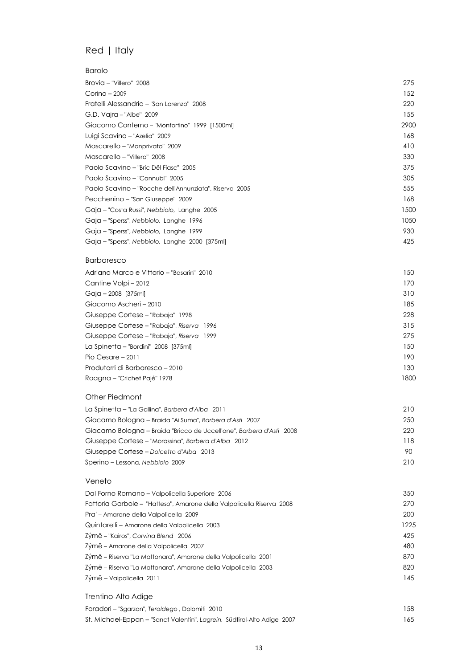# Red | Italy

| <b>Barolo</b>                                          |      |
|--------------------------------------------------------|------|
| Brovia - "Villero" 2008                                | 275  |
| Corino – 2009                                          | 152  |
| Fratelli Alessandria - "San Lorenzo" 2008              | 220  |
| G.D. Vajra - "Albe" 2009                               | 155  |
| Giacomo Conterno - "Monfortino" 1999 [1500ml]          | 2900 |
| Luigi Scavino - "Azelia" 2009                          | 168  |
| Mascarello - "Monprivato" 2009                         | 410  |
| Mascarello - "Villero" 2008                            | 330  |
| Paolo Scavino - "Bric Dël Fiasc" 2005                  | 375  |
| Paolo Scavino - "Cannubi" 2005                         | 305  |
| Paolo Scavino - "Rocche dell'Annunziata", Riserva 2005 | 555  |
| Pecchenino – "San Giuseppe" 2009                       | 168  |
| Gaja - "Costa Russi", Nebbiolo, Langhe 2005            | 1500 |
| Gaja – "Sperss", Nebbiolo, Langhe 1996                 | 1050 |
| Gaja - "Sperss", Nebbiolo, Langhe 1999                 | 930  |
| Gaja - "Sperss", Nebbiolo, Langhe 2000 [375ml]         | 425  |
| <b>Barbaresco</b>                                      |      |
| Adriano Marco e Vittorio - "Basarin" 2010              | 150  |
| Cantine Volpi-2012                                     | 170  |
| Gaja - 2008 [375ml]                                    | 310  |
| Giacomo Ascheri - 2010                                 | 185  |
| Giuseppe Cortese - "Rabaja" 1998                       | 228  |
| Giuseppe Cortese - "Rabaja", Riserva 1996              | 315  |
| Giuseppe Cortese - "Rabaja", Riserva 1999              | 275  |
| La Spinetta - "Bordini" 2008 [375ml]                   | 150  |
| Pio Cesare - 2011                                      | 190  |
| Produtorri di Barbaresco - 2010                        | 130  |
| Roagna - "Crichet Pajé" 1978                           | 1800 |
| Other Piedmont                                         |      |
| La Spinetta - "La Gallina", Barbera d'Alba 2011        | 210  |

| La spirienta – La Gallina , Barbera a Alba - 2011                    | <b>7</b> I U |
|----------------------------------------------------------------------|--------------|
| Giacamo Bologna – Braida "Ai Suma", Barbera d'Asti 2007              | 250          |
| Giacamo Bologna – Braida "Bricco de Uccell'one", Barbera d'Asti 2008 | 220          |
| Giuseppe Cortese – "Morassina", Barbera d'Alba 2012                  | 118          |
| Giuseppe Cortese – Dolcetto d'Alba 2013                              | 90.          |
| Sperino – Lessona, Nebbiolo 2009                                     | 210          |

#### Veneto

| Dal Forno Romano – Valpolicella Superiore 2006                        | 350  |
|-----------------------------------------------------------------------|------|
| Fattoria Garbole – "Hatteso", Amarone della Valpolicella Riserva 2008 | 270  |
| Pra' - Amarone della Valpolicella 2009                                | 200  |
| Quintarelli – Amarone della Valpolicella 2003                         | 1225 |
| Zýmē - "Kairos", Corvina Blend 2006                                   | 425  |
| Zýmē – Amarone della Valpolicella 2007                                | 480  |
| Zýmē - Riserva "La Mattonara", Amarone della Valpolicella 2001        | 870  |
| Zýmē – Riserva "La Mattonara", Amarone della Valpolicella 2003        | 820  |
| Zýmē – Valpolicella 2011                                              | 145  |
| Trentino-Alto Adige                                                   |      |

| Foradori – "Sgarzon", Teroldego, Dolomiti 2010                          | 158  |
|-------------------------------------------------------------------------|------|
| St. Michael-Eppan - "Sanct Valentin", Lagrein, Südtirol-Alto Adige 2007 | l 65 |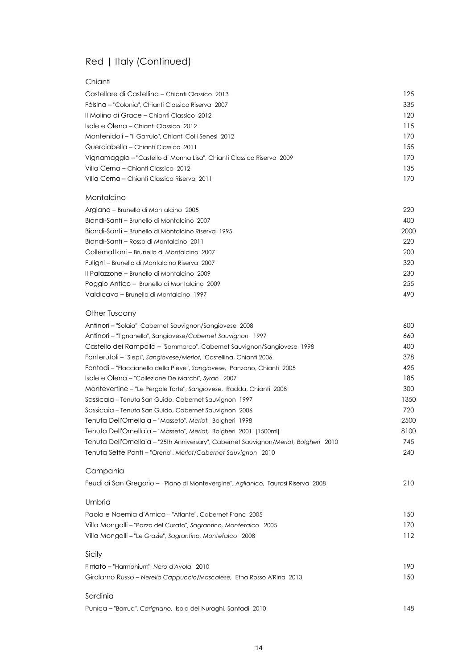# Red | Italy (Continued)

#### **Chianti**

| Castellare di Castellina – Chianti Classico 2013                      | 125 |
|-----------------------------------------------------------------------|-----|
| Fèlsina – "Colonia", Chianti Classico Riserva  2007                   | 335 |
| Il Molino di Grace - Chianti Classico 2012                            | 120 |
| Isole e Olena – Chianti Classico 2012                                 | 115 |
| Montenidoli – "Il Garrulo", Chianti Colli Senesi 2012                 | 170 |
| Querciabella – Chianti Classico 2011                                  | 155 |
| Vignamaggio – "Castello di Monna Lisa", Chianti Classico Riserva 2009 | 170 |
| Villa Cerna – Chianti Classico  2012                                  | 135 |
| Villa Cerna – Chianti Classico Riserva 2011                           | 170 |
| Montalcino                                                            |     |
| Argiano - Brunello di Montalcino 2005                                 | 220 |
| Biondi-Santi – Brunello di Montalcino 2007                            | 400 |
|                                                                       |     |

| Biondi-Santi – Brunello di Montalcino Riserva 1995 | 2000 |
|----------------------------------------------------|------|
| Biondi-Santi – Rosso di Montalcino 2011            | 220  |
| Collemattoni – Brunello di Montalcino 2007         | 200  |
| Fuligni - Brunello di Montalcino Riserva 2007      | 320  |
| Il Palazzone – Brunello di Montalcino 2009         | 230  |
| Poggio Antico – Brunello di Montalcino 2009        | 255  |
| Valdicava - Brunello di Montalcino 1997            | 490  |
|                                                    |      |

#### Other Tuscany

| Antinori – "Solaia", Cabernet Sauvignon/Sangiovese 2008                              | 600  |
|--------------------------------------------------------------------------------------|------|
| Antinori - "Tignanello", Sangiovese/Cabernet Sauvignon 1997                          | 660  |
| Castello dei Rampolla – "Sammarco", Cabernet Sauvignon/Sangiovese 1998               | 400  |
| Fonterutoli - "Siepi", Sangiovese/Merlot, Castellina, Chianti 2006                   | 378  |
| Fontodi - "Flaccianello della Pieve", Sangiovese, Panzano, Chianti 2005              | 425  |
| Isole e Olena – "Collezione De Marchi", Syrah 2007                                   | 185  |
| Montevertine - "Le Pergole Torte", Sangiovese, Radda, Chianti 2008                   | 300  |
| Sassicaia - Tenuta San Guido, Cabernet Sauvignon 1997                                | 1350 |
| Sassicaia – Tenuta San Guido, Cabernet Sauvignon 2006                                | 720  |
| Tenuta Dell'Ornellaia - "Masseto", Merlot, Bolgheri 1998                             | 2500 |
| Tenuta Dell'Ornellaia - "Masseto", Merlot, Bolgheri 2001 [1500ml]                    | 8100 |
| Tenuta Dell'Ornellaia - "25th Anniversary", Cabernet Sauvignon/Merlot, Bolgheri 2010 | 745  |
| Tenuta Sette Ponti - "Oreno", Merlot/Cabernet Sauvignon 2010                         | 240  |
| Campania                                                                             |      |
| Feudi di San Gregorio - "Piano di Montevergine", Aglianico, Taurasi Riserva 2008     | 210  |
| Umbria                                                                               |      |
| Paolo e Noemia d'Amico - "Atlante", Cabernet Franc 2005                              | 150  |
| Villa Mongalli - "Pozzo del Curato", Sagrantino, Montefalco 2005                     | 170  |
| Villa Mongalli - "Le Grazie", Sagrantino, Montefalco 2008                            | 112  |
| Sicily                                                                               |      |
| Firriato – "Harmonium", Nero d'Avola 2010                                            | 190  |
| Girolamo Russo - Nerello Cappuccio/Mascalese, Etna Rosso A'Rina 2013                 | 150  |
|                                                                                      |      |

#### Sardinia

Punica - "Barrua", Carignano, Isola dei Nuraghi, Santadi 2010 **120 anni 2010** 148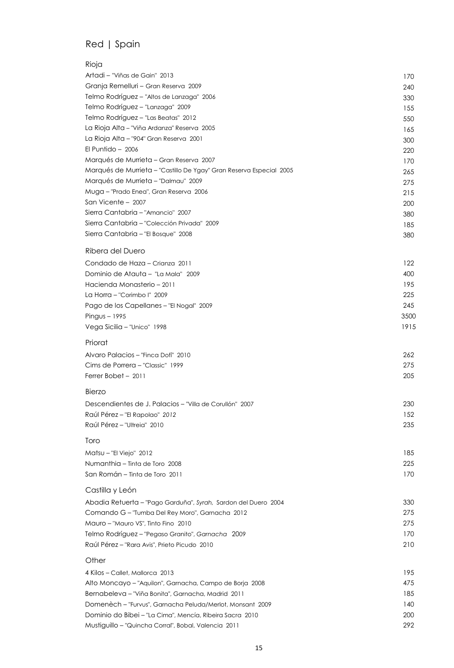### Red | Spain

| Rioja                                                                                                           |            |
|-----------------------------------------------------------------------------------------------------------------|------------|
| Artadi - "Viñas de Gain" 2013                                                                                   | 170        |
| Granja Remelluri - Gran Reserva 2009                                                                            | 240        |
| Telmo Rodríguez - "Altos de Lanzaga" 2006                                                                       | 330        |
| Telmo Rodríguez - "Lanzaga" 2009                                                                                | 155        |
| Telmo Rodríguez - "Las Beatas" 2012                                                                             | 550        |
| La Rioja Alta - "Viña Ardanza" Reserva 2005                                                                     | 165        |
| La Rioja Alta - "904" Gran Reserva 2001                                                                         | 300        |
| El Puntido $-2006$                                                                                              | 220        |
| Marqués de Murrieta - Gran Reserva 2007                                                                         | 170        |
| Marqués de Murrieta - "Castillo De Ygay" Gran Reserva Especial 2005                                             | 265        |
| Marqués de Murrieta – "Dalmau" 2009                                                                             | 275        |
| Muga - "Prado Enea", Gran Reserva 2006                                                                          | 215        |
| San Vicente - 2007                                                                                              | 200        |
| Sierra Cantabria - "Amancio" 2007                                                                               | 380        |
| Sierra Cantabria - "Colección Privada" 2009                                                                     | 185        |
| Sierra Cantabria - "El Bosque" 2008                                                                             | 380        |
| Ribera del Duero                                                                                                |            |
| Condado de Haza - Crianza 2011<br>Dominio de Atauta - "La Mala" 2009                                            | 122<br>400 |
| Hacienda Monasterio - 2011                                                                                      | 195        |
| La Horra - "Corimbo l" 2009                                                                                     | 225        |
| Pago de los Capellanes - "El Nogal" 2009                                                                        | 245        |
| Pingus $-1995$                                                                                                  | 3500       |
| Vega Sicilia - "Unico" 1998                                                                                     | 1915       |
|                                                                                                                 |            |
| Priorat                                                                                                         |            |
| Alvaro Palacios - "Finca Dofí" 2010                                                                             | 262        |
| Cims de Porrera – "Classic" 1999                                                                                | 275        |
| Ferrer Bobet - 2011                                                                                             | 205        |
| Bierzo                                                                                                          |            |
| Descendientes de J. Palacios - "Villa de Corullón" 2007                                                         | 230        |
| Raúl Pérez - "El Rapolao" 2012                                                                                  | 152        |
| Raúl Pérez - "Ultreia" 2010                                                                                     | 235        |
| Toro                                                                                                            |            |
| Matsu - "El Viejo" 2012                                                                                         | 185        |
| Numanthia - Tinta de Toro 2008                                                                                  | 225        |
| San Román - Tinta de Toro 2011                                                                                  | 170        |
| Castilla y León                                                                                                 |            |
| Abadia Retuerta - "Pago Garduña", Syrah, Sardon del Duero 2004                                                  | 330        |
| Comando G - "Tumba Del Rey Moro", Garnacha 2012                                                                 | 275        |
| Mauro - "Mauro VS", Tinto Fino 2010                                                                             | 275        |
| Telmo Rodríguez - "Pegaso Granito", Garnacha 2009                                                               | 170        |
| Raúl Pérez - "Rara Avis", Prieto Picudo 2010                                                                    | 210        |
| Other                                                                                                           |            |
| 4 Kilos - Callet, Mallorca 2013                                                                                 | 195        |
| Alto Moncayo - "Aguilon", Garnacha, Campo de Borja 2008                                                         | 475<br>185 |
| Bernabeleva – "Viña Bonita", Garnacha, Madrid 2011<br>Domenèch - "Furvus", Garnacha Peluda/Merlot, Monsant 2009 | 140        |
| Dominio do Bibei - "La Cima", Mencía, Ribeira Sacra 2010                                                        | 200        |
| Mustiguillo - "Quincha Corral", Bobal, Valencia 2011                                                            | 292        |
|                                                                                                                 |            |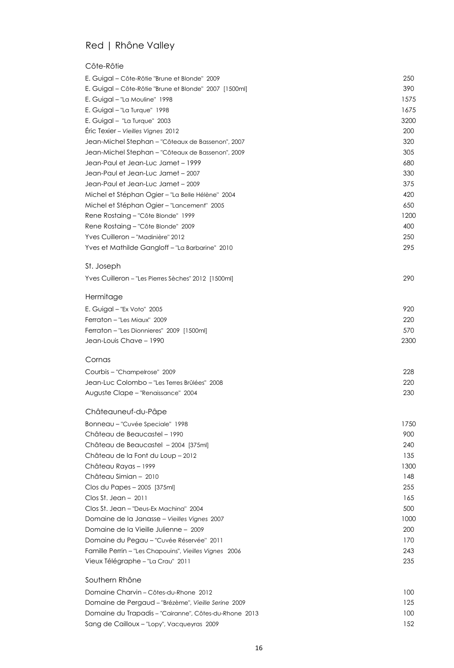### Red | Rhône Valley

#### Côte-Rôtie

| E. Guigal – Côte-Rôtie "Brune et Blonde" 2009          | 250  |
|--------------------------------------------------------|------|
| E. Guigal – Côte-Rôtie "Brune et Blonde" 2007 [1500ml] | 390  |
| E. Guigal - "La Mouline" 1998                          | 1575 |
| E. Guigal - "La Turque" 1998                           | 1675 |
| E. Guigal - "La Turque" 2003                           | 3200 |
| Eric Texier - Vieilles Vignes 2012                     | 200  |
| Jean-Michel Stephan - "Côteaux de Bassenon", 2007      | 320  |
| Jean-Michel Stephan - "Côteaux de Bassenon", 2009      | 305  |
| Jean-Paul et Jean-Luc Jamet - 1999                     | 680  |
| Jean-Paul et Jean-Luc Jamet - 2007                     | 330  |
| Jean-Paul et Jean-Luc Jamet - 2009                     | 375  |
| Michel et Stéphan Ogier - "La Belle Hélène" 2004       | 420  |
| Michel et Stéphan Ogier - "Lancement" 2005             | 650  |
| Rene Rostaing - "Côte Blonde" 1999                     | 1200 |
| Rene Rostaing – "Côte Blonde" 2009                     | 400  |
| Yves Cuilleron - "Madinière" 2012                      | 250  |
| Yves et Mathilde Gangloff - "La Barbarine" 2010        | 295  |
| St. Joseph                                             |      |
| Yves Cuilleron - "Les Pierres Sèches" 2012 [1500ml]    | 290  |
| Hermitage                                              |      |
| E. Guigal - "Ex Voto" 2005                             | 920  |
| Ferraton - "Les Miaux" 2009                            | 220  |
| Ferraton - "Les Dionnieres" 2009 [1500ml]              | 570  |
| Jean-Louis Chave - 1990                                | 2300 |
| Cornas                                                 |      |
| Courbis - "Champelrose" 2009                           | 228  |
| Jean-Luc Colombo - "Les Terres Brûlées" 2008           | 220  |
| Auguste Clape - "Renaissance" 2004                     | 230  |
| Châteauneuf-du-Pâpe                                    |      |
| Bonneau - "Cuvée Speciale" 1998                        | 1750 |
| Château de Beaucastel - 1990                           | 900  |
| Château de Beaucastel - 2004 [375ml]                   | 240  |
| Château de la Font du Loup - 2012                      | 135  |
| Château Rayas – 1999                                   | 1300 |
| Château Simian - 2010                                  | 148  |
| Clos du Papes - 2005 [375ml]                           | 255  |
| $Clos St. Jean - 2011$                                 | 165  |
| Clos St. Jean - "Deus-Ex Machina" 2004                 | 500  |
| Domaine de la Janasse – Vieilles Vignes 2007           | 1000 |
| Domaine de la Vieille Julienne - 2009                  | 200  |
| Domaine du Pegau - "Cuvée Réservée" 2011               | 170  |
| Famille Perrin - "Les Chapouins", Vieilles Vignes 2006 | 243  |
| Vieux Télégraphe - "La Crau" 2011                      | 235  |
| Southern Rhône                                         |      |
| Domaine Charvin – Côtes-du-Rhone 2012                  | 100  |
| Domaine de Pergaud - "Brézème", Vieille Serine 2009    | 125  |
| Domaine du Trapadis - "Cairanne", Côtes-du-Rhone 2013  | 100  |

Sang de Cailloux - "Lopy", Vacqueyras 2009 152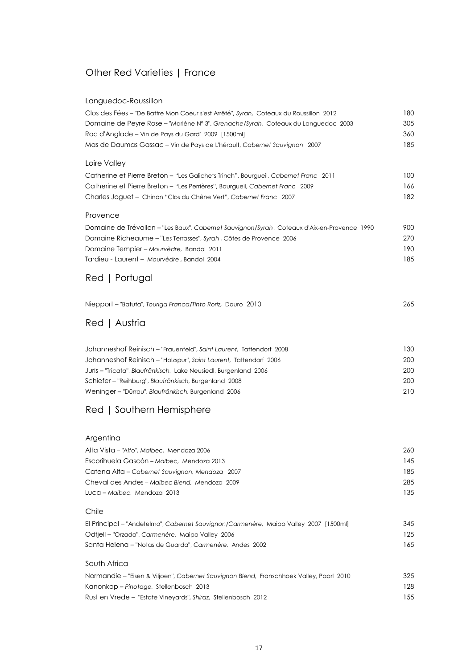### Other Red Varieties | France

#### Languedoc-Roussillon

| Clos des Fées - "De Battre Mon Coeur s'est Arrêté", Syrah, Coteaux du Roussillon 2012        | 180 |
|----------------------------------------------------------------------------------------------|-----|
| Domaine de Peyre Rose - "Marlène Nº 3", Grenache/Syrah, Coteaux du Languedoc 2003            | 305 |
| Roc d'Anglade - Vin de Pays du Gard' 2009 [1500ml]                                           | 360 |
| Mas de Daumas Gassac - Vin de Pays de L'hérault, Cabernet Sauvignon 2007                     | 185 |
| Loire Valley                                                                                 |     |
| Catherine et Pierre Breton - "Les Galichets Trinch", Bourgueil, Cabernet Franc 2011          | 100 |
| Catherine et Pierre Breton - "Les Perrières", Bourgueil, Cabernet Franc 2009                 | 166 |
| Charles Joguet - Chinon "Clos du Chêne Vert", Cabernet Franc 2007                            | 182 |
| Provence                                                                                     |     |
| Domaine de Trévallon – "Les Baux", Cabernet Sauvignon/Syrah , Coteaux d'Aix-en-Provence 1990 | 900 |
| Domaine Richeaume - "Les Terrasses", Syrah, Côtes de Provence 2006                           | 270 |
| Domaine Tempier - Mourvèdre, Bandol 2011                                                     | 190 |
| Tardieu - Laurent - Mourvèdre, Bandol 2004                                                   | 185 |
| Red   Portugal                                                                               |     |
| Niepport - "Batuta", Touriga Franca/Tinto Roriz, Douro 2010                                  | 265 |
| Red   Austria                                                                                |     |
|                                                                                              |     |
| Johanneshof Reinisch - "Frauenfeld", Saint Laurent, Tattendorf 2008                          | 130 |
| Johanneshof Reinisch - "Holzspur", Saint Laurent, Tattendorf 2006                            | 200 |
| Juris – "Tricata", Blaufränkisch, Lake Neusiedl, Burgenland 2006                             | 200 |
| Schiefer - "Reihburg", Blaufränkisch, Burgenland 2008                                        | 200 |
| Weninger - "Dürrau", Blaufränkisch, Burgenland 2006                                          | 210 |
| Red   Southern Hemisphere                                                                    |     |
| Argentina                                                                                    |     |
| Alta Vista – "Alto", Malbec, Mendoza 2006                                                    | 260 |
| Escorihuela Gascón - Malbec, Mendoza 2013                                                    | 145 |
| Catena Alta - Cabernet Sauvignon, Mendoza 2007                                               | 185 |
| Cheval des Andes - Malbec Blend, Mendoza 2009                                                | 285 |
| Luca - Malbec, Mendoza 2013                                                                  | 135 |
| Chile                                                                                        |     |
| El Principal – "Andetelmo", Cabernet Sauvignon/Carmenère, Maipo Valley 2007 [1500ml]         | 345 |
| Odfjell - "Orzada", Carmenère, Maipo Valley 2006                                             | 125 |
| Santa Helena – "Notas de Guarda", Carmenère, Andes 2002                                      | 165 |
| South Africa                                                                                 |     |
| Normandie – "Eisen & Viljoen", Cabernet Sauvignon Blend, Franschhoek Valley, Paarl 2010      | 325 |
| Kanonkop - Pinotage, Stellenbosch 2013                                                       | 128 |
| Rust en Vrede - "Estate Vineyards", Shiraz, Stellenbosch 2012                                | 155 |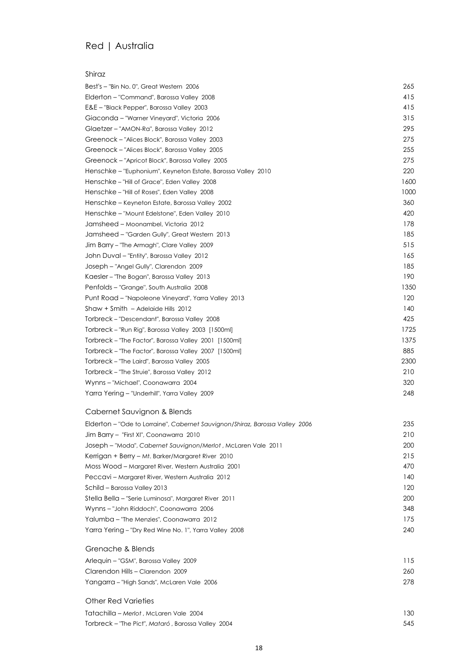### Red | Australia

#### Shiraz

| Best's - "Bin No. 0", Great Western 2006                     | 265  |
|--------------------------------------------------------------|------|
| Elderton - "Command", Barossa Valley 2008                    | 415  |
| E&E - "Black Pepper", Barossa Valley 2003                    | 415  |
| Giaconda - "Warner Vineyard", Victoria 2006                  | 315  |
| Glaetzer - "AMON-Ra", Barossa Valley 2012                    | 295  |
| Greenock - "Alices Block", Barossa Valley 2003               | 275  |
| Greenock - "Alices Block", Barossa Valley 2005               | 255  |
| Greenock - "Apricot Block", Barossa Valley 2005              | 275  |
| Henschke - "Euphonium", Keyneton Estate, Barossa Valley 2010 | 220  |
| Henschke - "Hill of Grace", Eden Valley 2008                 | 1600 |
| Henschke - "Hill of Roses", Eden Valley 2008                 | 1000 |
| Henschke - Keyneton Estate, Barossa Valley 2002              | 360  |
| Henschke - "Mount Edelstone", Eden Valley 2010               | 420  |
| Jamsheed - Moonambel, Victoria 2012                          | 178  |
| Jamsheed - "Garden Gully", Great Western 2013                | 185  |
| Jim Barry - "The Armagh", Clare Valley 2009                  | 515  |
| John Duval - "Entity", Barossa Valley 2012                   | 165  |
| Joseph - "Angel Gully", Clarendon 2009                       | 185  |
| Kaesler - "The Bogan", Barossa Valley 2013                   | 190  |
| Penfolds - "Grange", South Australia 2008                    | 1350 |
| Punt Road - "Napoleone Vineyard", Yarra Valley 2013          | 120  |
| Shaw + Smith - Adelaide Hills 2012                           | 140  |
| Torbreck - "Descendant", Barossa Valley 2008                 | 425  |
| Torbreck - "Run Rig", Barossa Valley 2003 [1500ml]           | 1725 |
| Torbreck - "The Factor", Barossa Valley 2001 [1500ml]        | 1375 |
| Torbreck - "The Factor", Barossa Valley 2007 [1500ml]        | 885  |
| Torbreck - "The Laird", Barossa Valley 2005                  | 2300 |
| Torbreck - "The Struie", Barossa Valley 2012                 | 210  |
| Wynns - "Michael", Coonawarra 2004                           | 320  |
| Yarra Yering - "Underhill", Yarra Valley 2009                | 248  |

#### Cabernet Sauvignon & Blends

| Elderton - "Ode to Lorraine", Cabernet Sauvignon/Shiraz, Barossa Valley 2006 | 235 |
|------------------------------------------------------------------------------|-----|
| Jim Barry – "First XI", Coonawarra 2010                                      | 210 |
| Joseph - "Moda", Cabernet Sauvignon/Merlot, McLaren Vale 2011                | 200 |
| Kerrigan + Berry - Mt. Barker/Margaret River 2010                            | 215 |
| Moss Wood – Margaret River, Western Australia 2001                           | 470 |
| Peccavi – Margaret River, Western Australia 2012                             | 140 |
| Schild - Barossa Valley 2013                                                 | 120 |
| Stella Bella – "Serie Luminosa", Margaret River 2011                         | 200 |
| Wynns - "John Riddoch", Coonawarra 2006                                      | 348 |
| Yalumba – "The Menzies", Coonawarra 2012                                     | 175 |
| Yarra Yering - "Dry Red Wine No. 1", Yarra Valley 2008                       | 240 |

#### Grenache & Blends

| Arlequin – "GSM", Barossa Valley 2009      | 115 |
|--------------------------------------------|-----|
| Clarendon Hills - Clarendon 2009           | 260 |
| Yangarra – "High Sands", McLaren Vale 2006 | 278 |

#### Other Red Varieties

Tatachilla – *Merlot* , McLaren Vale 2004 130 Torbreck – "The Pict", *Mataró*, Barossa Valley 2004 **545**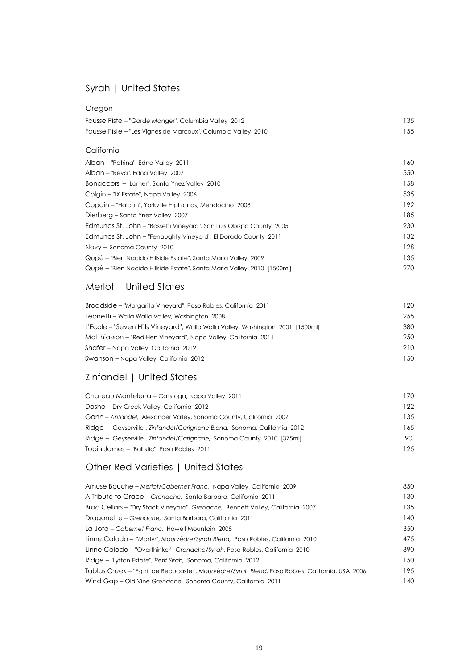### Syrah | United States

#### Oregon

| Fausse Piste – "Garde Manger", Columbia Valley 2012          | 135 |
|--------------------------------------------------------------|-----|
| Fausse Piste – "Les Vignes de Marcoux", Columbia Valley 2010 | 155 |

#### California

| Alban - "Patrina", Edna Valley 2011                                    | 160 |
|------------------------------------------------------------------------|-----|
| Alban - "Reva", Edna Valley 2007                                       | 550 |
| Bonaccorsi - "Larner", Santa Ynez Valley 2010                          | 158 |
| Colgin - "IX Estate", Napa Valley 2006                                 | 535 |
| Copain - "Halcon", Yorkville Highlands, Mendocino 2008                 | 192 |
| Dierberg – Santa Ynez Valley 2007                                      | 185 |
| Edmunds St. John – "Bassetti Vineyard", San Luis Obispo County 2005    | 230 |
| Edmunds St. John - "Fenaughty Vineyard", El Dorado County 2011         | 132 |
| Novy - Sonoma County 2010                                              | 128 |
| Qupé – "Bien Nacido Hillside Estate", Santa Maria Valley 2009          | 135 |
| Qupé – "Bien Nacido Hillside Estate", Santa Maria Valley 2010 [1500ml] | 270 |
|                                                                        |     |

### Merlot | United States

| Broadside – "Margarita Vineyard", Paso Robles, California 2011                 | 120  |
|--------------------------------------------------------------------------------|------|
| Leonetti – Walla Walla Valley, Washington 2008                                 | 255  |
| L'Ecole - "Seven Hills Vineyard", Walla Walla Valley, Washington 2001 [1500ml] | 380  |
| Matthiasson – "Red Hen Vineyard", Napa Valley, California 2011                 | 250  |
| Shafer – Napa Valley, California 2012                                          | 210  |
| Swanson – Napa Valley, California 2012                                         | 1.50 |

### Zinfandel | United States

| Chateau Montelena – Calistoga, Napa Valley 2011                           | 170 |
|---------------------------------------------------------------------------|-----|
| Dashe – Dry Creek Valley, California 2012                                 | 122 |
| Gann – Zinfandel, Alexander Valley, Sonoma County, California 2007        | 135 |
| Ridge – "Geyserville", Zinfandel/Carignane Blend, Sonoma, California 2012 | 165 |
| Ridge - "Geyserville", Zinfandel/Carignane, Sonoma County 2010 [375ml]    | 90. |
| Tobin James – "Ballistic", Paso Robles 2011                               | 125 |

### Other Red Varieties | United States

| Amuse Bouche - Merlot/Cabernet Franc, Napa Valley, California 2009                              | 850 |
|-------------------------------------------------------------------------------------------------|-----|
| A Tribute to Grace - Grenache, Santa Barbara, California 2011                                   | 130 |
| Broc Cellars - "Dry Stack Vineyard", Grenache, Bennett Valley, California 2007                  | 135 |
| Dragonette – Grenache, Santa Barbara, California 2011                                           | 140 |
| La Jota – Cabernet Franc, Howell Mountain 2005                                                  | 350 |
| Linne Calodo – "Martyr", Mourvèdre/Syrah Blend, Paso Robles, California 2010                    | 475 |
| Linne Calodo - "Overthinker", Grenache/Syrah, Paso Robles, California 2010                      | 390 |
| Ridge - "Lytton Estate", Petit Sirah, Sonoma, California 2012                                   | 150 |
| Tablas Creek - "Esprit de Beaucastel", Mourvèdre/Syrah Blend, Paso Robles, California, USA 2006 | 195 |
| Wind Gap - Old Vine Grenache, Sonoma County, California 2011                                    | 140 |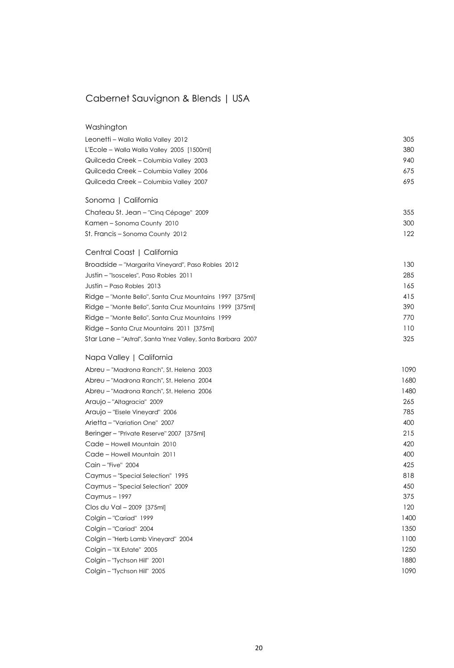# Cabernet Sauvignon & Blends | USA

| Washington                                                  |      |
|-------------------------------------------------------------|------|
| Leonetti - Walla Walla Valley 2012                          | 305  |
| L'Ecole – Walla Walla Valley 2005 [1500ml]                  | 380  |
| Quilceda Creek - Columbia Valley 2003                       | 940  |
| Quilceda Creek - Columbia Valley 2006                       | 675  |
| Quilceda Creek - Columbia Valley 2007                       | 695  |
| Sonoma   California                                         |      |
| Chateau St. Jean - "Cinq Cépage" 2009                       | 355  |
| Kamen - Sonoma County 2010                                  | 300  |
| St. Francis - Sonoma County 2012                            | 122  |
| Central Coast   California                                  |      |
| Broadside - "Margarita Vineyard", Paso Robles 2012          | 130  |
| Justin – "Isosceles", Paso Robles  2011                     | 285  |
| Justin - Paso Robles 2013                                   | 165  |
| Ridge - "Monte Bello", Santa Cruz Mountains 1997 [375ml]    | 415  |
| Ridge - "Monte Bello", Santa Cruz Mountains 1999 [375ml]    | 390  |
| Ridge - "Monte Bello", Santa Cruz Mountains 1999            | 770  |
| Ridge – Santa Cruz Mountains 2011 [375ml]                   | 110  |
| Star Lane - "Astral", Santa Ynez Valley, Santa Barbara 2007 | 325  |
| Napa Valley   California                                    |      |
| Abreu - "Madrona Ranch", St. Helena 2003                    | 1090 |
| Abreu - "Madrona Ranch", St. Helena 2004                    | 1680 |
| Abreu – "Madrona Ranch", St. Helena 2006                    | 1480 |
| Araujo - "Altagracia" 2009                                  | 265  |
| Araujo – "Eisele Vineyard" 2006                             | 785  |
| Arietta - "Variation One" 2007                              | 400  |
| Beringer - "Private Reserve" 2007 [375ml]                   | 215  |
| Cade - Howell Mountain 2010                                 | 420  |
| Cade - Howell Mountain 2011                                 | 400  |
| Cain - "Five" 2004                                          | 425  |
| Caymus - "Special Selection" 1995                           | 818  |
| Caymus - "Special Selection" 2009                           | 450  |
| Caymus - 1997                                               | 375  |
| Clos du Val - 2009 [375ml]                                  | 120  |
| Colgin - "Cariad" 1999                                      | 1400 |
| Colgin - "Cariad" 2004                                      | 1350 |
| Colgin - "Herb Lamb Vineyard" 2004                          | 1100 |
| Colgin - "IX Estate" 2005                                   | 1250 |
| Colgin - "Tychson Hill" 2001                                | 1880 |
| Colgin - "Tychson Hill" 2005                                | 1090 |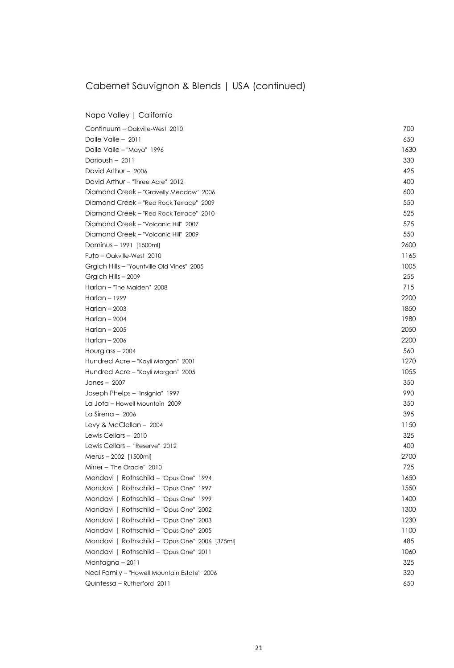# Cabernet Sauvignon & Blends | USA (continued)

Napa Valley | California

| Dalle Valle $-2011$<br>650<br>1630<br>Dalle Valle - "Maya" 1996<br>Darioush - 2011<br>330<br>David Arthur - 2006<br>425<br>David Arthur - "Three Acre" 2012<br>400<br>Diamond Creek - "Gravelly Meadow" 2006<br>600<br>Diamond Creek - "Red Rock Terrace" 2009<br>550<br>525<br>Diamond Creek – "Red Rock Terrace" 2010<br>Diamond Creek - "Volcanic Hill" 2007<br>575<br>Diamond Creek - "Volcanic Hill" 2009<br>550<br>2600<br>Dominus - 1991 [1500ml]<br>1165<br>Futo – Oakville-West 2010<br>1005<br>Grgich Hills - "Yountville Old Vines" 2005<br>255<br>Grgich Hills - 2009<br>715<br>Harlan - "The Maiden" 2008<br>Harlan - 1999<br>2200<br>Harlan $-2003$<br>1850<br>Harlan $-2004$<br>1980<br>Harlan $-2005$<br>2050<br>Harlan - 2006<br>2200<br>560<br>Hourglass - 2004<br>1270<br>Hundred Acre - "Kayli Morgan" 2001<br>1055<br>Hundred Acre - "Kayli Morgan" 2005<br>350<br>Jones $-2007$<br>990<br>Joseph Phelps - "Insignia" 1997<br>350<br>La Jota - Howell Mountain 2009<br>395<br>La Sirena - 2006 |
|---------------------------------------------------------------------------------------------------------------------------------------------------------------------------------------------------------------------------------------------------------------------------------------------------------------------------------------------------------------------------------------------------------------------------------------------------------------------------------------------------------------------------------------------------------------------------------------------------------------------------------------------------------------------------------------------------------------------------------------------------------------------------------------------------------------------------------------------------------------------------------------------------------------------------------------------------------------------------------------------------------------------|
|                                                                                                                                                                                                                                                                                                                                                                                                                                                                                                                                                                                                                                                                                                                                                                                                                                                                                                                                                                                                                     |
|                                                                                                                                                                                                                                                                                                                                                                                                                                                                                                                                                                                                                                                                                                                                                                                                                                                                                                                                                                                                                     |
|                                                                                                                                                                                                                                                                                                                                                                                                                                                                                                                                                                                                                                                                                                                                                                                                                                                                                                                                                                                                                     |
|                                                                                                                                                                                                                                                                                                                                                                                                                                                                                                                                                                                                                                                                                                                                                                                                                                                                                                                                                                                                                     |
|                                                                                                                                                                                                                                                                                                                                                                                                                                                                                                                                                                                                                                                                                                                                                                                                                                                                                                                                                                                                                     |
|                                                                                                                                                                                                                                                                                                                                                                                                                                                                                                                                                                                                                                                                                                                                                                                                                                                                                                                                                                                                                     |
|                                                                                                                                                                                                                                                                                                                                                                                                                                                                                                                                                                                                                                                                                                                                                                                                                                                                                                                                                                                                                     |
|                                                                                                                                                                                                                                                                                                                                                                                                                                                                                                                                                                                                                                                                                                                                                                                                                                                                                                                                                                                                                     |
|                                                                                                                                                                                                                                                                                                                                                                                                                                                                                                                                                                                                                                                                                                                                                                                                                                                                                                                                                                                                                     |
|                                                                                                                                                                                                                                                                                                                                                                                                                                                                                                                                                                                                                                                                                                                                                                                                                                                                                                                                                                                                                     |
|                                                                                                                                                                                                                                                                                                                                                                                                                                                                                                                                                                                                                                                                                                                                                                                                                                                                                                                                                                                                                     |
|                                                                                                                                                                                                                                                                                                                                                                                                                                                                                                                                                                                                                                                                                                                                                                                                                                                                                                                                                                                                                     |
|                                                                                                                                                                                                                                                                                                                                                                                                                                                                                                                                                                                                                                                                                                                                                                                                                                                                                                                                                                                                                     |
|                                                                                                                                                                                                                                                                                                                                                                                                                                                                                                                                                                                                                                                                                                                                                                                                                                                                                                                                                                                                                     |
|                                                                                                                                                                                                                                                                                                                                                                                                                                                                                                                                                                                                                                                                                                                                                                                                                                                                                                                                                                                                                     |
|                                                                                                                                                                                                                                                                                                                                                                                                                                                                                                                                                                                                                                                                                                                                                                                                                                                                                                                                                                                                                     |
|                                                                                                                                                                                                                                                                                                                                                                                                                                                                                                                                                                                                                                                                                                                                                                                                                                                                                                                                                                                                                     |
|                                                                                                                                                                                                                                                                                                                                                                                                                                                                                                                                                                                                                                                                                                                                                                                                                                                                                                                                                                                                                     |
|                                                                                                                                                                                                                                                                                                                                                                                                                                                                                                                                                                                                                                                                                                                                                                                                                                                                                                                                                                                                                     |
|                                                                                                                                                                                                                                                                                                                                                                                                                                                                                                                                                                                                                                                                                                                                                                                                                                                                                                                                                                                                                     |
|                                                                                                                                                                                                                                                                                                                                                                                                                                                                                                                                                                                                                                                                                                                                                                                                                                                                                                                                                                                                                     |
|                                                                                                                                                                                                                                                                                                                                                                                                                                                                                                                                                                                                                                                                                                                                                                                                                                                                                                                                                                                                                     |
|                                                                                                                                                                                                                                                                                                                                                                                                                                                                                                                                                                                                                                                                                                                                                                                                                                                                                                                                                                                                                     |
|                                                                                                                                                                                                                                                                                                                                                                                                                                                                                                                                                                                                                                                                                                                                                                                                                                                                                                                                                                                                                     |
|                                                                                                                                                                                                                                                                                                                                                                                                                                                                                                                                                                                                                                                                                                                                                                                                                                                                                                                                                                                                                     |
|                                                                                                                                                                                                                                                                                                                                                                                                                                                                                                                                                                                                                                                                                                                                                                                                                                                                                                                                                                                                                     |
|                                                                                                                                                                                                                                                                                                                                                                                                                                                                                                                                                                                                                                                                                                                                                                                                                                                                                                                                                                                                                     |
| 1150<br>Levy & McClellan $-2004$                                                                                                                                                                                                                                                                                                                                                                                                                                                                                                                                                                                                                                                                                                                                                                                                                                                                                                                                                                                    |
| 325<br>Lewis Cellars - 2010                                                                                                                                                                                                                                                                                                                                                                                                                                                                                                                                                                                                                                                                                                                                                                                                                                                                                                                                                                                         |
| Lewis Cellars - "Reserve" 2012<br>400                                                                                                                                                                                                                                                                                                                                                                                                                                                                                                                                                                                                                                                                                                                                                                                                                                                                                                                                                                               |
| 2700<br>Merus - 2002 [1500ml]                                                                                                                                                                                                                                                                                                                                                                                                                                                                                                                                                                                                                                                                                                                                                                                                                                                                                                                                                                                       |
| Miner - "The Oracle" 2010<br>725                                                                                                                                                                                                                                                                                                                                                                                                                                                                                                                                                                                                                                                                                                                                                                                                                                                                                                                                                                                    |
| Mondavi   Rothschild - "Opus One" 1994<br>1650                                                                                                                                                                                                                                                                                                                                                                                                                                                                                                                                                                                                                                                                                                                                                                                                                                                                                                                                                                      |
| Mondavi   Rothschild - "Opus One" 1997<br>1550                                                                                                                                                                                                                                                                                                                                                                                                                                                                                                                                                                                                                                                                                                                                                                                                                                                                                                                                                                      |
| Mondavi   Rothschild - "Opus One" 1999<br>1400                                                                                                                                                                                                                                                                                                                                                                                                                                                                                                                                                                                                                                                                                                                                                                                                                                                                                                                                                                      |
| Mondavi   Rothschild - "Opus One" 2002<br>1300                                                                                                                                                                                                                                                                                                                                                                                                                                                                                                                                                                                                                                                                                                                                                                                                                                                                                                                                                                      |
| Mondavi   Rothschild - "Opus One" 2003<br>1230                                                                                                                                                                                                                                                                                                                                                                                                                                                                                                                                                                                                                                                                                                                                                                                                                                                                                                                                                                      |
| Mondavi   Rothschild - "Opus One" 2005<br>1100                                                                                                                                                                                                                                                                                                                                                                                                                                                                                                                                                                                                                                                                                                                                                                                                                                                                                                                                                                      |
| Mondavi   Rothschild - "Opus One" 2006 [375ml]<br>485                                                                                                                                                                                                                                                                                                                                                                                                                                                                                                                                                                                                                                                                                                                                                                                                                                                                                                                                                               |
|                                                                                                                                                                                                                                                                                                                                                                                                                                                                                                                                                                                                                                                                                                                                                                                                                                                                                                                                                                                                                     |
| 1060<br>Mondavi   Rothschild - "Opus One" 2011                                                                                                                                                                                                                                                                                                                                                                                                                                                                                                                                                                                                                                                                                                                                                                                                                                                                                                                                                                      |
| 325<br>Montagna - 2011                                                                                                                                                                                                                                                                                                                                                                                                                                                                                                                                                                                                                                                                                                                                                                                                                                                                                                                                                                                              |
| 320<br>Neal Family - "Howell Mountain Estate" 2006                                                                                                                                                                                                                                                                                                                                                                                                                                                                                                                                                                                                                                                                                                                                                                                                                                                                                                                                                                  |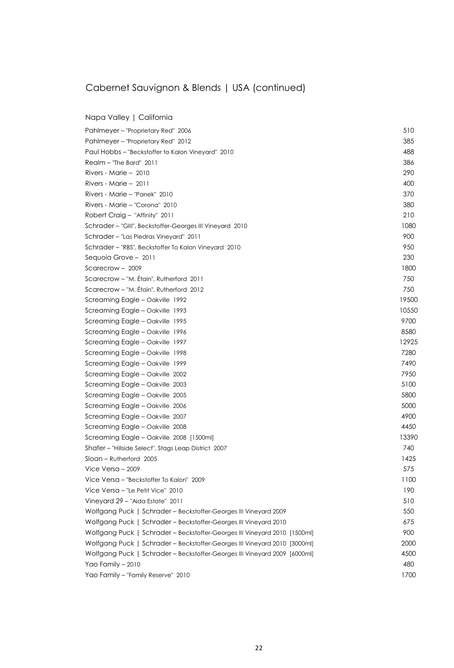# Cabernet Sauvignon & Blends | USA (continued)

Napa Valley | California

| Pahlmeyer – "Proprietary Red" 2006                                        | 510   |
|---------------------------------------------------------------------------|-------|
| Pahlmeyer - "Proprietary Red" 2012                                        | 385   |
| Paul Hobbs - "Beckstoffer to Kalon Vineyard" 2010                         | 488   |
| Realm - "The Bard" 2011                                                   | 386   |
| Rivers - Marie $-2010$                                                    | 290   |
| Rivers - Marie - 2011                                                     | 400   |
| Rivers - Marie - "Panek" 2010                                             | 370   |
| Rivers - Marie - "Corona" 2010                                            | 380   |
| Robert Craig - "Affinity" 2011                                            | 210   |
| Schrader - "GIII", Beckstoffer-Georges III Vineyard 2010                  | 1080  |
| Schrader - "Las Piedras Vineyard" 2011                                    | 900   |
| Schrader - "RBS", Beckstoffer To Kalon Vineyard 2010                      | 950   |
| Sequoia Grove - 2011                                                      | 230   |
| Scarecrow $-2009$                                                         | 1800  |
| Scarecrow - "M. Étain", Rutherford 2011                                   | 750   |
| Scarecrow - "M. Étain", Rutherford 2012                                   | 750   |
| Screaming Eagle - Oakville 1992                                           | 19500 |
| Screaming Eagle - Oakville 1993                                           | 10550 |
| Screaming Eagle - Oakville 1995                                           | 9700  |
| Screaming Eagle - Oakville 1996                                           | 8580  |
| Screaming Eagle - Oakville 1997                                           | 12925 |
| Screaming Eagle - Oakville 1998                                           | 7280  |
| Screaming Eagle - Oakville 1999                                           | 7490  |
| Screaming Eagle - Oakville 2002                                           | 7950  |
| Screaming Eagle - Oakville 2003                                           | 5100  |
| Screaming Eagle - Oakville 2005                                           | 5800  |
| Screaming Eagle - Oakville 2006                                           | 5000  |
| Screaming Eagle - Oakville 2007                                           | 4900  |
| Screaming Eagle - Oakville 2008                                           | 4450  |
| Screaming Eagle - Oakville 2008 [1500ml]                                  | 13390 |
| Shafer - "Hillside Select", Stags Leap District 2007                      | 740   |
| Sloan – Rutherford 2005                                                   | 1425  |
| Vice Versa $-2009$                                                        | 575   |
| Vice Versa - "Beckstoffer To Kalon" 2009                                  | 1100  |
| Vice Versa - "Le Petit Vice" 2010                                         | 190   |
| Vineyard 29 - "Aida Estate" 2011                                          | 510   |
| Wolfgang Puck   Schrader - Beckstoffer-Georges III Vineyard 2009          | 550   |
| Wolfgang Puck   Schrader - Beckstoffer-Georges III Vineyard 2010          | 675   |
| Wolfgang Puck   Schrader - Beckstoffer-Georges III Vineyard 2010 [1500ml] | 900   |
| Wolfgang Puck   Schrader - Beckstoffer-Georges III Vineyard 2010 [3000ml] | 2000  |
| Wolfgang Puck   Schrader - Beckstoffer-Georges III Vineyard 2009 [6000ml] | 4500  |
| Yao Family - 2010                                                         | 480   |
| Yao Family - "Family Reserve" 2010                                        | 1700  |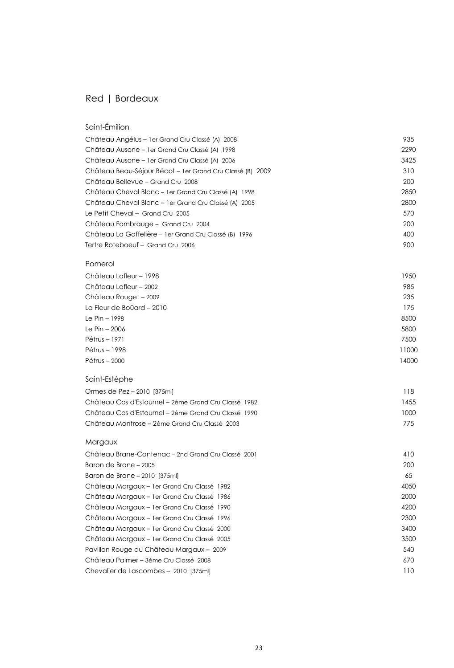#### Red | Bordeaux

#### Saint-Émilion Château Angélus – 1 er Grand Cru Classé (A) 2008 **1998 1999 1999 1999 1999 1999 1998 1999 199**35 1999 1999 1999 1 Château Ausone – 1 er Grand Cru Classé (A) 1998 **2290** Château Ausone – 1 er Grand Cru Classé (A) 2006 3425 Château Beau-Séjour Bécot – 1er Grand Cru Classé (B) 2009 **310** Château Bellevue – Grand Cru 2008 200 Château Cheval Blanc – 1er Grand Cru Classé (A) 1998 **2850** Château Cheval Blanc – 1er Grand Cru Classé (A) 2005 2800 Le Petit Cheval – Grand Cru 2005 570 Château Fombrauge – Grand Cru 2004 200 Château La Gaffelière – 1 er Grand Cru Classé (B) 1996 400 Tertre Roteboeuf – Grand Cru 2006 900

#### Pomerol

| Château Lafleur - 1998    | 1950  |
|---------------------------|-------|
| Château Lafleur - 2002    | 985   |
| Château Rouget - 2009     | 235   |
| La Fleur de Boüard - 2010 | 175   |
| Le Pin - 1998             | 8500  |
| Le Pin - 2006             | 5800  |
| Pétrus – 1971             | 7500  |
| Pétrus - 1998             | 11000 |
| Pétrus - 2000             | 14000 |

#### Saint-Estèphe

| Ormes de Pez - 2010 [375ml]                          | 118  |
|------------------------------------------------------|------|
| Château Cos d'Estournel – 2ème Grand Cru Classé 1982 | 1455 |
| Château Cos d'Estournel – 2ème Grand Cru Classé 1990 | 1000 |
| Château Montrose – 2ème Grand Cru Classé 2003        | 775  |

#### Margaux

| Château Brane-Cantenac – 2nd Grand Cru Classé 2001 | 410  |
|----------------------------------------------------|------|
| Baron de Brane – 2005                              | 200  |
| Baron de Brane - 2010 [375ml]                      | 65   |
| Château Margaux - 1 er Grand Cru Classé 1982       | 4050 |
| Château Margaux – 1 er Grand Cru Classé 1986       | 2000 |
| Château Margaux – 1 er Grand Cru Classé 1990       | 4200 |
| Château Margaux – 1 er Grand Cru Classé 1996       | 2300 |
| Château Margaux – 1 er Grand Cru Classé 2000       | 3400 |
| Château Margaux – 1 er Grand Cru Classé 2005       | 3500 |
| Pavillon Rouge du Château Margaux - 2009           | 540  |
| Château Palmer – 3ème Cru Classé 2008              | 670  |
| Chevalier de Lascombes – 2010 [375ml]              | 110  |
|                                                    |      |